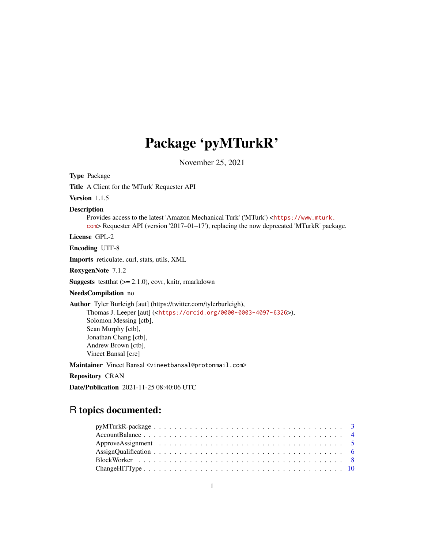# Package 'pyMTurkR'

November 25, 2021

Title A Client for the 'MTurk' Requester API Version 1.1.5 Description Provides access to the latest 'Amazon Mechanical Turk' ('MTurk') <[https://www.mturk.](https://www.mturk.com) [com](https://www.mturk.com)> Requester API (version '2017–01–17'), replacing the now deprecated 'MTurkR' package. License GPL-2 Encoding UTF-8 Imports reticulate, curl, stats, utils, XML RoxygenNote 7.1.2 **Suggests** test that  $(>= 2.1.0)$ , covr, knitr, rmarkdown NeedsCompilation no Author Tyler Burleigh [aut] (https://twitter.com/tylerburleigh), Thomas J. Leeper [aut] (<<https://orcid.org/0000-0003-4097-6326>>), Solomon Messing [ctb], Sean Murphy [ctb], Jonathan Chang [ctb], Andrew Brown [ctb], Vineet Bansal [cre] Maintainer Vineet Bansal <vineetbansal@protonmail.com> Repository CRAN

Date/Publication 2021-11-25 08:40:06 UTC

## R topics documented:

Type Package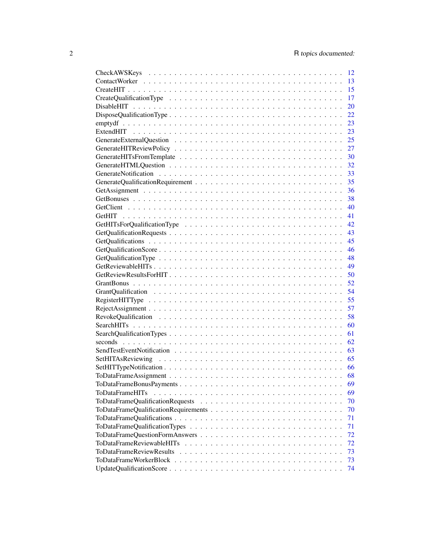|                                 | 13 |
|---------------------------------|----|
|                                 | 15 |
|                                 | 17 |
|                                 | 20 |
|                                 | 22 |
|                                 | 23 |
|                                 | 23 |
|                                 | 25 |
|                                 | 27 |
|                                 | 30 |
|                                 | 32 |
|                                 | 33 |
|                                 | 35 |
|                                 | 36 |
|                                 | 38 |
|                                 | 40 |
|                                 | 41 |
|                                 | 42 |
|                                 | 43 |
|                                 | 45 |
|                                 | 46 |
|                                 | 48 |
|                                 | 49 |
|                                 | 50 |
|                                 | 52 |
|                                 | 54 |
|                                 | 55 |
|                                 | 57 |
|                                 | 58 |
|                                 | 60 |
|                                 | 61 |
|                                 | 62 |
|                                 |    |
|                                 |    |
|                                 |    |
|                                 |    |
| ToDataFrameBonusPayments        | 69 |
| <b>ToDataFrameHITs</b>          | 69 |
|                                 | 70 |
|                                 | 70 |
|                                 | 71 |
|                                 | 71 |
|                                 |    |
|                                 | 72 |
|                                 | 72 |
| <b>ToDataFrameReviewResults</b> | 73 |
|                                 | 73 |
|                                 | 74 |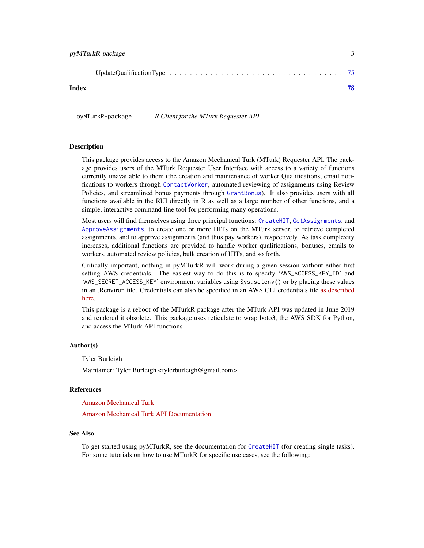<span id="page-2-0"></span>

|--|--|--|--|--|--|--|--|--|--|--|--|--|--|--|--|--|--|--|--|--|--|--|--|--|--|--|--|--|--|--|--|--|--|--|--|--|--|--|--|

#### **Index 28 April 2018 19:30 The Second Line Control of the Second Line Control of the Second Line Control of the Second Line Control of the Second Line Control of the Second Line Control of the Second Line Control of the Se**

pyMTurkR-package *R Client for the MTurk Requester API*

#### Description

This package provides access to the Amazon Mechanical Turk (MTurk) Requester API. The package provides users of the MTurk Requester User Interface with access to a variety of functions currently unavailable to them (the creation and maintenance of worker Qualifications, email notifications to workers through [ContactWorker](#page-12-1), automated reviewing of assignments using Review Policies, and streamlined bonus payments through [GrantBonus](#page-51-1)). It also provides users with all functions available in the RUI directly in R as well as a large number of other functions, and a simple, interactive command-line tool for performing many operations.

Most users will find themselves using three principal functions: [CreateHIT](#page-14-1), [GetAssignments](#page-35-1), and [ApproveAssignments](#page-4-1), to create one or more HITs on the MTurk server, to retrieve completed assignments, and to approve assignments (and thus pay workers), respectively. As task complexity increases, additional functions are provided to handle worker qualifications, bonuses, emails to workers, automated review policies, bulk creation of HITs, and so forth.

Critically important, nothing in pyMTurkR will work during a given session without either first setting AWS credentials. The easiest way to do this is to specify 'AWS\_ACCESS\_KEY\_ID' and 'AWS\_SECRET\_ACCESS\_KEY' environment variables using Sys.setenv() or by placing these values in an .Renviron file. Credentials can also be specified in an AWS CLI credentials file [as described](https://boto3.amazonaws.com/v1/documentation/api/latest/guide/quickstart.html#configuration) [here.](https://boto3.amazonaws.com/v1/documentation/api/latest/guide/quickstart.html#configuration)

This package is a reboot of the MTurkR package after the MTurk API was updated in June 2019 and rendered it obsolete. This package uses reticulate to wrap boto3, the AWS SDK for Python, and access the MTurk API functions.

#### Author(s)

Tyler Burleigh

Maintainer: Tyler Burleigh <tylerburleigh@gmail.com>

#### References

[Amazon Mechanical Turk](https://www.mturk.com/)

[Amazon Mechanical Turk API Documentation](https://docs.aws.amazon.com/mturk/index.html)

### See Also

To get started using pyMTurkR, see the documentation for [CreateHIT](#page-14-1) (for creating single tasks). For some tutorials on how to use MTurkR for specific use cases, see the following: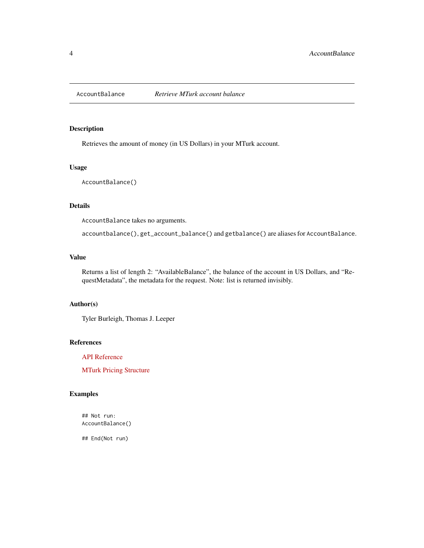<span id="page-3-0"></span>

### Description

Retrieves the amount of money (in US Dollars) in your MTurk account.

### Usage

AccountBalance()

### Details

AccountBalance takes no arguments.

accountbalance(), get\_account\_balance() and getbalance() are aliases for AccountBalance.

### Value

Returns a list of length 2: "AvailableBalance", the balance of the account in US Dollars, and "RequestMetadata", the metadata for the request. Note: list is returned invisibly.

### Author(s)

Tyler Burleigh, Thomas J. Leeper

### References

[API Reference](https://docs.aws.amazon.com/AWSMechTurk/latest/AWSMturkAPI/ApiReference_GetAccountBalanceOperation.html)

[MTurk Pricing Structure](https://requester.mturk.com/pricing)

### Examples

## Not run: AccountBalance()

## End(Not run)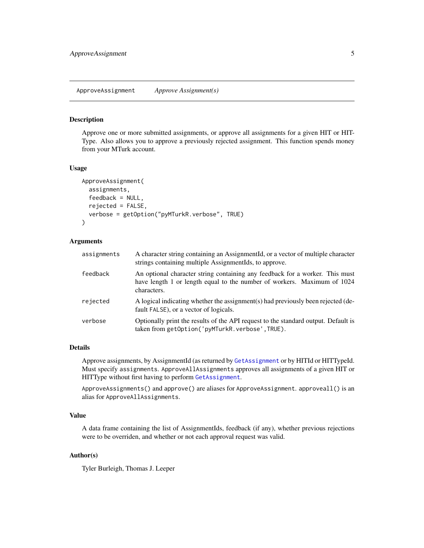#### <span id="page-4-1"></span><span id="page-4-0"></span>Description

Approve one or more submitted assignments, or approve all assignments for a given HIT or HIT-Type. Also allows you to approve a previously rejected assignment. This function spends money from your MTurk account.

#### Usage

```
ApproveAssignment(
  assignments,
  feedback = NULL,
  rejected = FALSE,
  verbose = getOption("pyMTurkR.verbose", TRUE)
)
```
### Arguments

| assignments | A character string containing an AssignmentId, or a vector of multiple character<br>strings containing multiple AssignmentIds, to approve.                             |
|-------------|------------------------------------------------------------------------------------------------------------------------------------------------------------------------|
| feedback    | An optional character string containing any feedback for a worker. This must<br>have length 1 or length equal to the number of workers. Maximum of 1024<br>characters. |
| rejected    | A logical indicating whether the assignment(s) had previously been rejected (de-<br>fault FALSE), or a vector of logicals.                                             |
| verbose     | Optionally print the results of the API request to the standard output. Default is<br>taken from getOption('pyMTurkR.verbose',TRUE).                                   |

### Details

Approve assignments, by AssignmentId (as returned by [GetAssignment](#page-35-2) or by HITId or HITTypeId. Must specify assignments. ApproveAllAssignments approves all assignments of a given HIT or HITType without first having to perform [GetAssignment](#page-35-2).

ApproveAssignments() and approve() are aliases for ApproveAssignment. approveall() is an alias for ApproveAllAssignments.

### Value

A data frame containing the list of AssignmentIds, feedback (if any), whether previous rejections were to be overriden, and whether or not each approval request was valid.

### Author(s)

Tyler Burleigh, Thomas J. Leeper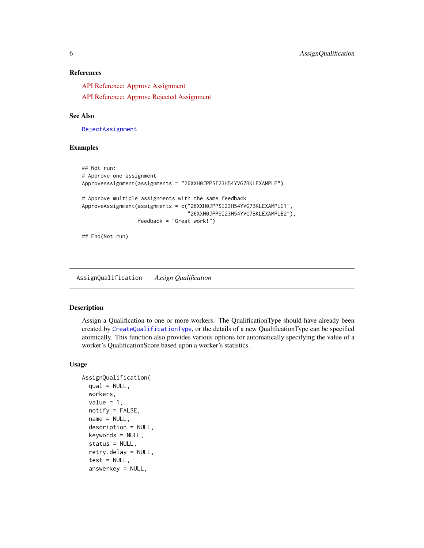### <span id="page-5-0"></span>References

[API Reference: Approve Assignment](https://docs.aws.amazon.com/AWSMechTurk/latest/AWSMturkAPI/ApiReference_ApproveAssignmentOperation.html)

[API Reference: Approve Rejected Assignment](https://docs.aws.amazon.com/AWSMechTurk/latest/AWSMturkAPI/ApiReference_ApproveRejectedAssignmentOperation.html)

#### See Also

[RejectAssignment](#page-56-1)

#### Examples

```
## Not run:
# Approve one assignment
ApproveAssignment(assignments = "26XXH0JPPSI23H54YVG7BKLEXAMPLE")
# Approve multiple assignments with the same feedback
ApproveAssignment(assignments = c("26XXH0JPPSI23H54YVG7BKLEXAMPLE1",
                                  "26XXH0JPPSI23H54YVG7BKLEXAMPLE2"),
                  feedback = "Great work!")
```
## End(Not run)

<span id="page-5-1"></span>AssignQualification *Assign Qualification*

### Description

Assign a Qualification to one or more workers. The QualificationType should have already been created by [CreateQualificationType](#page-16-1), or the details of a new QualificationType can be specified atomically. This function also provides various options for automatically specifying the value of a worker's QualificationScore based upon a worker's statistics.

### Usage

```
AssignQualification(
  qual = NULL,workers,
  value = 1,
  notify = FALSE,name = NULL,
  description = NULL,
  keywords = NULL,
  status = NULL,retry.delay = NULL,
  test = NULL,answerkey = NULL,
```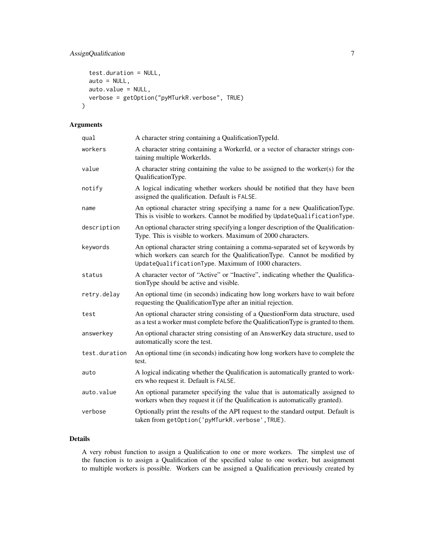```
test.duration = NULL,
 auto = NULL,
 auto.value = NULL,
 verbose = getOption("pyMTurkR.verbose", TRUE)
)
```
### Arguments

| qual          | A character string containing a QualificationTypeId.                                                                                                                                                              |
|---------------|-------------------------------------------------------------------------------------------------------------------------------------------------------------------------------------------------------------------|
| workers       | A character string containing a WorkerId, or a vector of character strings con-<br>taining multiple WorkerIds.                                                                                                    |
| value         | A character string containing the value to be assigned to the worker(s) for the<br>QualificationType.                                                                                                             |
| notify        | A logical indicating whether workers should be notified that they have been<br>assigned the qualification. Default is FALSE.                                                                                      |
| name          | An optional character string specifying a name for a new QualificationType.<br>This is visible to workers. Cannot be modified by UpdateQualificationType.                                                         |
| description   | An optional character string specifying a longer description of the Qualification-<br>Type. This is visible to workers. Maximum of 2000 characters.                                                               |
| keywords      | An optional character string containing a comma-separated set of keywords by<br>which workers can search for the QualificationType. Cannot be modified by<br>UpdateQualificationType. Maximum of 1000 characters. |
| status        | A character vector of "Active" or "Inactive", indicating whether the Qualifica-<br>tionType should be active and visible.                                                                                         |
| retry.delay   | An optional time (in seconds) indicating how long workers have to wait before<br>requesting the QualificationType after an initial rejection.                                                                     |
| test          | An optional character string consisting of a QuestionForm data structure, used<br>as a test a worker must complete before the Qualification Type is granted to them.                                              |
| answerkey     | An optional character string consisting of an AnswerKey data structure, used to<br>automatically score the test.                                                                                                  |
| test.duration | An optional time (in seconds) indicating how long workers have to complete the<br>test.                                                                                                                           |
| auto          | A logical indicating whether the Qualification is automatically granted to work-<br>ers who request it. Default is FALSE.                                                                                         |
| auto.value    | An optional parameter specifying the value that is automatically assigned to<br>workers when they request it (if the Qualification is automatically granted).                                                     |
| verbose       | Optionally print the results of the API request to the standard output. Default is<br>taken from getOption('pyMTurkR.verbose', TRUE).                                                                             |

### Details

A very robust function to assign a Qualification to one or more workers. The simplest use of the function is to assign a Qualification of the specified value to one worker, but assignment to multiple workers is possible. Workers can be assigned a Qualification previously created by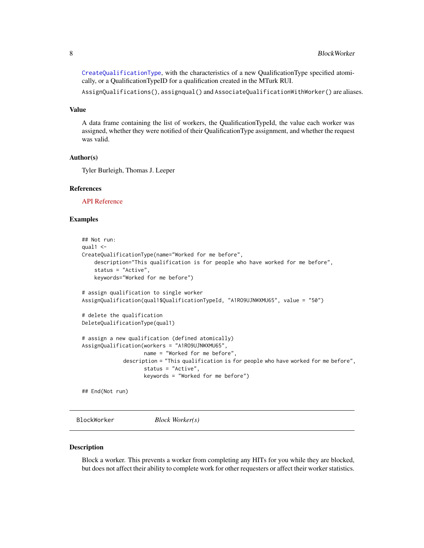<span id="page-7-0"></span>[CreateQualificationType](#page-16-1), with the characteristics of a new QualificationType specified atomically, or a QualificationTypeID for a qualification created in the MTurk RUI.

AssignQualifications(), assignqual() and AssociateQualificationWithWorker() are aliases.

### Value

A data frame containing the list of workers, the QualificationTypeId, the value each worker was assigned, whether they were notified of their QualificationType assignment, and whether the request was valid.

#### Author(s)

Tyler Burleigh, Thomas J. Leeper

#### References

[API Reference](https://docs.aws.amazon.com/AWSMechTurk/latest/AWSMturkAPI/ApiReference_AssignQualificationOperation.html)

### Examples

```
## Not run:
qual1 < -CreateQualificationType(name="Worked for me before",
    description="This qualification is for people who have worked for me before",
    status = "Active",
    keywords="Worked for me before")
# assign qualification to single worker
AssignQualification(qual1$QualificationTypeId, "A1RO9UJNWXMU65", value = "50")
# delete the qualification
DeleteQualificationType(qual1)
# assign a new qualification (defined atomically)
AssignQualification(workers = "A1RO9UJNWXMU65",
                    name = "Worked for me before",
             description = "This qualification is for people who have worked for me before",
                    status = "Active",
                    keywords = "Worked for me before")
## End(Not run)
```
BlockWorker *Block Worker(s)*

#### Description

Block a worker. This prevents a worker from completing any HITs for you while they are blocked, but does not affect their ability to complete work for other requesters or affect their worker statistics.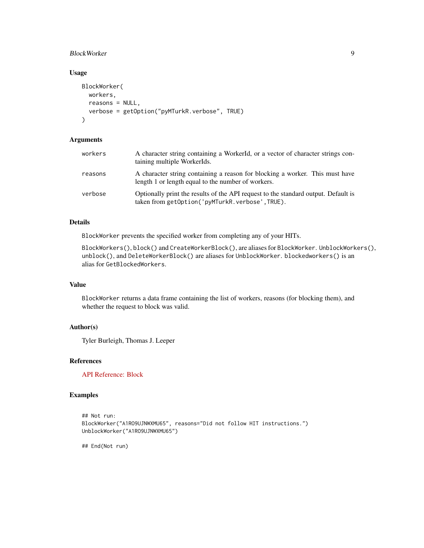### BlockWorker 9

### Usage

```
BlockWorker(
 workers,
 reasons = NULL,
  verbose = getOption("pyMTurkR.verbose", TRUE)
\lambda
```
### Arguments

| workers | A character string containing a WorkerId, or a vector of character strings con-<br>taining multiple WorkerIds.                       |
|---------|--------------------------------------------------------------------------------------------------------------------------------------|
| reasons | A character string containing a reason for blocking a worker. This must have<br>length 1 or length equal to the number of workers.   |
| verbose | Optionally print the results of the API request to the standard output. Default is<br>taken from getOption('pyMTurkR.verbose',TRUE). |

### Details

BlockWorker prevents the specified worker from completing any of your HITs.

BlockWorkers(), block() and CreateWorkerBlock(), are aliases for BlockWorker. UnblockWorkers(), unblock(), and DeleteWorkerBlock() are aliases for UnblockWorker. blockedworkers() is an alias for GetBlockedWorkers.

#### Value

BlockWorker returns a data frame containing the list of workers, reasons (for blocking them), and whether the request to block was valid.

### Author(s)

Tyler Burleigh, Thomas J. Leeper

### References

[API Reference: Block](https://docs.aws.amazon.com/AWSMechTurk/latest/AWSMturkAPI/ApiReference_CreateWorkerBlockOperation.html)

### Examples

```
## Not run:
BlockWorker("A1RO9UJNWXMU65", reasons="Did not follow HIT instructions.")
UnblockWorker("A1RO9UJNWXMU65")
```
## End(Not run)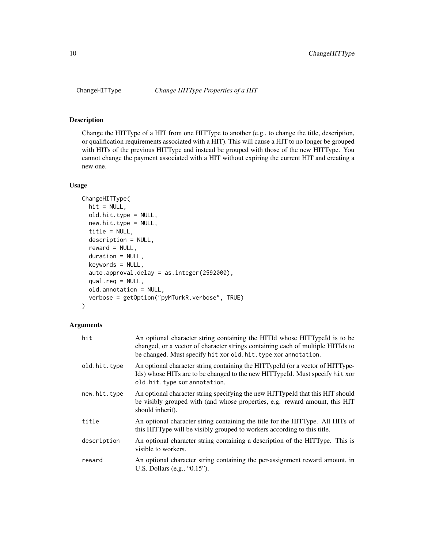<span id="page-9-0"></span>

#### Description

Change the HITType of a HIT from one HITType to another (e.g., to change the title, description, or qualification requirements associated with a HIT). This will cause a HIT to no longer be grouped with HITs of the previous HITType and instead be grouped with those of the new HITType. You cannot change the payment associated with a HIT without expiring the current HIT and creating a new one.

### Usage

```
ChangeHITType(
  hit = NULL,old.hit.type = NULL,
  new.hit.type = NULL,
  title = NULL,
  description = NULL,
  reward = NULL,
  duration = NULL,
  keywords = NULL,
  auto.approval.delay = as.integer(2592000),
  qual.req = NULL,
  old.annotation = NULL,
  verbose = getOption("pyMTurkR.verbose", TRUE)
\mathcal{L}
```
#### Arguments

| hit          | An optional character string containing the HITId whose HITTypeId is to be<br>changed, or a vector of character strings containing each of multiple HITIds to<br>be changed. Must specify hit xor old. hit. type xor annotation. |
|--------------|----------------------------------------------------------------------------------------------------------------------------------------------------------------------------------------------------------------------------------|
| old.hit.type | An optional character string containing the HITTypeId (or a vector of HITType-<br>Ids) whose HITs are to be changed to the new HITTypeId. Must specify hit xor<br>old.hit.type xor annotation.                                   |
| new.hit.type | An optional character string specifying the new HITTypeId that this HIT should<br>be visibly grouped with (and whose properties, e.g. reward amount, this HIT<br>should inherit).                                                |
| title        | An optional character string containing the title for the HITType. All HITs of<br>this HITType will be visibly grouped to workers according to this title.                                                                       |
| description  | An optional character string containing a description of the HITType. This is<br>visible to workers.                                                                                                                             |
| reward       | An optional character string containing the per-assignment reward amount, in<br>U.S. Dollars (e.g., $(0.15)$ ).                                                                                                                  |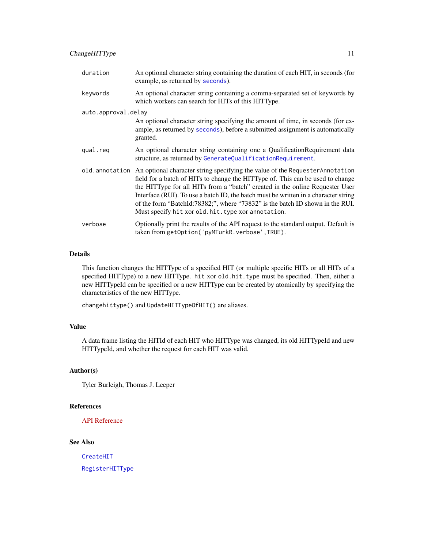### ChangeHITType 11

| duration            | An optional character string containing the duration of each HIT, in seconds (for<br>example, as returned by seconds).                                                                                                                                                                                                                                                                                                                                                                         |
|---------------------|------------------------------------------------------------------------------------------------------------------------------------------------------------------------------------------------------------------------------------------------------------------------------------------------------------------------------------------------------------------------------------------------------------------------------------------------------------------------------------------------|
| keywords            | An optional character string containing a comma-separated set of keywords by<br>which workers can search for HITs of this HITType.                                                                                                                                                                                                                                                                                                                                                             |
| auto.approval.delay |                                                                                                                                                                                                                                                                                                                                                                                                                                                                                                |
|                     | An optional character string specifying the amount of time, in seconds (for ex-<br>ample, as returned by seconds), before a submitted assignment is automatically<br>granted.                                                                                                                                                                                                                                                                                                                  |
| qual.req            | An optional character string containing one a Qualification Requirement data<br>structure, as returned by GenerateQualificationRequirement.                                                                                                                                                                                                                                                                                                                                                    |
|                     | old. annotation An optional character string specifying the value of the Requester Annotation<br>field for a batch of HITs to change the HITType of. This can be used to change<br>the HITType for all HITs from a "batch" created in the online Requester User<br>Interface (RUI). To use a batch ID, the batch must be written in a character string<br>of the form "BatchId:78382;", where "73832" is the batch ID shown in the RUI.<br>Must specify hit xor old. hit. type xor annotation. |
| verbose             | Optionally print the results of the API request to the standard output. Default is<br>taken from getOption('pyMTurkR.verbose',TRUE).                                                                                                                                                                                                                                                                                                                                                           |

### Details

This function changes the HITType of a specified HIT (or multiple specific HITs or all HITs of a specified HITType) to a new HITType. hit xor old.hit.type must be specified. Then, either a new HITTypeId can be specified or a new HITType can be created by atomically by specifying the characteristics of the new HITType.

changehittype() and UpdateHITTypeOfHIT() are aliases.

### Value

A data frame listing the HITId of each HIT who HITType was changed, its old HITTypeId and new HITTypeId, and whether the request for each HIT was valid.

### Author(s)

Tyler Burleigh, Thomas J. Leeper

### References

[API Reference](https://docs.aws.amazon.com/AWSMechTurk/latest/AWSMturkAPI/ApiReference_ChangeHITTypeOfHITOperation.html)

### See Also

[CreateHIT](#page-14-1)

[RegisterHITType](#page-54-1)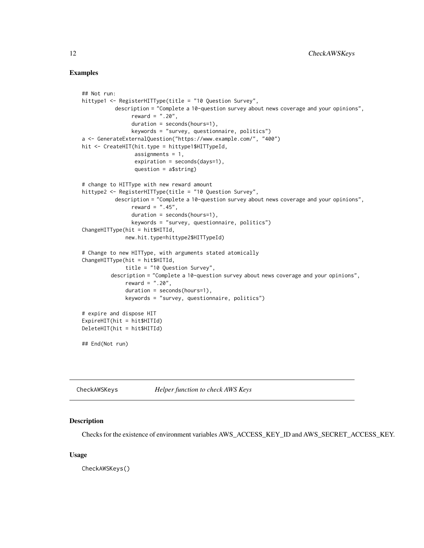### Examples

```
## Not run:
hittype1 <- RegisterHITType(title = "10 Question Survey",
          description = "Complete a 10-question survey about news coverage and your opinions",
                reward = ".20",duration = seconds(hours=1),
                keywords = "survey, questionnaire, politics")
a <- GenerateExternalQuestion("https://www.example.com/", "400")
hit <- CreateHIT(hit.type = hittype1$HITTypeId,
                 assignments = 1,
                 expiration = seconds(days=1),
                 question = a$string)
# change to HITType with new reward amount
hittype2 <- RegisterHITType(title = "10 Question Survey",
          description = "Complete a 10-question survey about news coverage and your opinions",
                reward = " .45",
                duration = seconds(hours=1),
                keywords = "survey, questionnaire, politics")
ChangeHITType(hit = hit$HITId,new.hit.type=hittype2$HITTypeId)
# Change to new HITType, with arguments stated atomically
ChangeHITType(hit = hit$HITId,
              title = "10 Question Survey",
         description = "Complete a 10-question survey about news coverage and your opinions",
              reward = ".20",duration = seconds(hours=1),
              keywords = "survey, questionnaire, politics")
# expire and dispose HIT
ExpireHIT(hit = hit$HITId)
DeleteHIT(hit = hit$HITId)
## End(Not run)
```
CheckAWSKeys *Helper function to check AWS Keys*

#### Description

Checks for the existence of environment variables AWS\_ACCESS\_KEY\_ID and AWS\_SECRET\_ACCESS\_KEY.

#### Usage

CheckAWSKeys()

<span id="page-11-0"></span>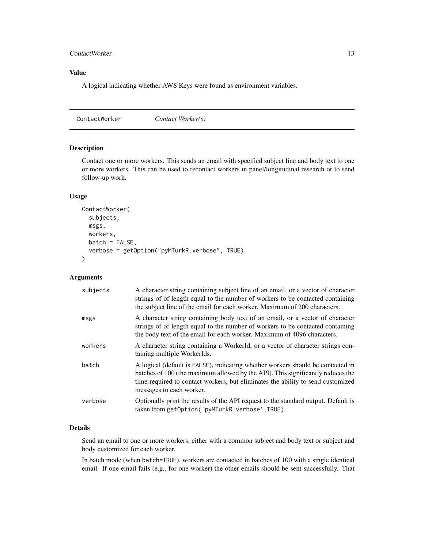### <span id="page-12-0"></span>ContactWorker 13

### Value

A logical indicating whether AWS Keys were found as environment variables.

<span id="page-12-1"></span>ContactWorker *Contact Worker(s)*

### Description

Contact one or more workers. This sends an email with specified subject line and body text to one or more workers. This can be used to recontact workers in panel/longitudinal research or to send follow-up work.

### Usage

```
ContactWorker(
  subjects,
  msgs,
  workers,
  batch = FALSE,verbose = getOption("pyMTurkR.verbose", TRUE)
\mathcal{L}
```
### Arguments

| subjects | A character string containing subject line of an email, or a vector of character<br>strings of of length equal to the number of workers to be contacted containing<br>the subject line of the email for each worker. Maximum of 200 characters.                                   |
|----------|-----------------------------------------------------------------------------------------------------------------------------------------------------------------------------------------------------------------------------------------------------------------------------------|
| msgs     | A character string containing body text of an email, or a vector of character<br>strings of of length equal to the number of workers to be contacted containing<br>the body text of the email for each worker. Maximum of 4096 characters.                                        |
| workers  | A character string containing a WorkerId, or a vector of character strings con-<br>taining multiple WorkerIds.                                                                                                                                                                    |
| batch    | A logical (default is FALSE), indicating whether workers should be contacted in<br>batches of 100 (the maximum allowed by the API). This significantly reduces the<br>time required to contact workers, but eliminates the ability to send customized<br>messages to each worker. |
| verbose  | Optionally print the results of the API request to the standard output. Default is<br>taken from getOption('pyMTurkR.verbose', TRUE).                                                                                                                                             |

### Details

Send an email to one or more workers, either with a common subject and body text or subject and body customized for each worker.

In batch mode (when batch=TRUE), workers are contacted in batches of 100 with a single identical email. If one email fails (e.g., for one worker) the other emails should be sent successfully. That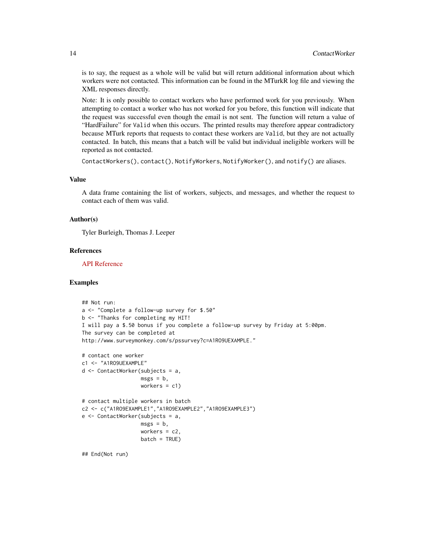is to say, the request as a whole will be valid but will return additional information about which workers were not contacted. This information can be found in the MTurkR log file and viewing the XML responses directly.

Note: It is only possible to contact workers who have performed work for you previously. When attempting to contact a worker who has not worked for you before, this function will indicate that the request was successful even though the email is not sent. The function will return a value of "HardFailure" for Valid when this occurs. The printed results may therefore appear contradictory because MTurk reports that requests to contact these workers are Valid, but they are not actually contacted. In batch, this means that a batch will be valid but individual ineligible workers will be reported as not contacted.

```
ContactWorkers(), contact(), NotifyWorkers, NotifyWorker(), and notify() are aliases.
```
### Value

A data frame containing the list of workers, subjects, and messages, and whether the request to contact each of them was valid.

### Author(s)

Tyler Burleigh, Thomas J. Leeper

### References

[API Reference](https://docs.aws.amazon.com/AWSMechTurk/latest/AWSMturkAPI/ApiReference_NotifyWorkersOperation.html)

#### Examples

```
## Not run:
a <- "Complete a follow-up survey for $.50"
b <- "Thanks for completing my HIT!
I will pay a $.50 bonus if you complete a follow-up survey by Friday at 5:00pm.
The survey can be completed at
http://www.surveymonkey.com/s/pssurvey?c=A1RO9UEXAMPLE."
# contact one worker
c1 <- "A1RO9UEXAMPLE"
d <- ContactWorker(subjects = a,
                  msgs = b,
                  workers = c1)
# contact multiple workers in batch
c2 <- c("A1RO9EXAMPLE1","A1RO9EXAMPLE2","A1RO9EXAMPLE3")
e <- ContactWorker(subjects = a,
                   msgs = b,
                   workers = c2,
                   batch = TRUE)
## End(Not run)
```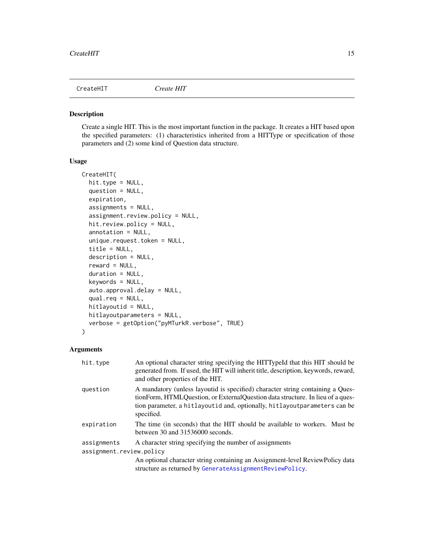<span id="page-14-1"></span><span id="page-14-0"></span>

### Description

Create a single HIT. This is the most important function in the package. It creates a HIT based upon the specified parameters: (1) characteristics inherited from a HITType or specification of those parameters and (2) some kind of Question data structure.

### Usage

```
CreateHIT(
  hit.type = NULL,
  question = NULL,
  expiration,
  assignments = NULL,
  assignment.review.policy = NULL,
  hit.review.policy = NULL,
  annotation = NULL,
  unique.request.token = NULL,
  title = NULL,
  description = NULL,
  reward = NULL,
  duration = NULL,
  keywords = NULL,
  auto.approval.delay = NULL,
  qual.req = NULL,
  hitlayoutid = NULL,
 hitlayoutparameters = NULL,
  verbose = getOption("pyMTurkR.verbose", TRUE)
\mathcal{L}
```
### Arguments

| hit.type                 | An optional character string specifying the HITTypeId that this HIT should be<br>generated from. If used, the HIT will inherit title, description, keywords, reward,<br>and other properties of the HIT.                                                    |
|--------------------------|-------------------------------------------------------------------------------------------------------------------------------------------------------------------------------------------------------------------------------------------------------------|
| question                 | A mandatory (unless layoutid is specified) character string containing a Ques-<br>tionForm, HTMLQuestion, or ExternalQuestion data structure. In lieu of a ques-<br>tion parameter, a hitlayoutid and, optionally, hitlayoutparameters can be<br>specified. |
| expiration               | The time (in seconds) that the HIT should be available to workers. Must be<br>between 30 and 31536000 seconds.                                                                                                                                              |
| assignments              | A character string specifying the number of assignments                                                                                                                                                                                                     |
| assignment.review.policy |                                                                                                                                                                                                                                                             |
|                          | An optional character string containing an Assignment-level ReviewPolicy data<br>structure as returned by GenerateAssignmentReviewPolicy.                                                                                                                   |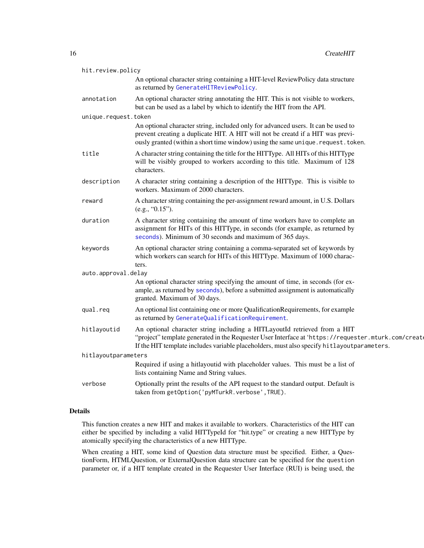| hit.review.policy    |                                                                                                                                                                                                                                                                                |
|----------------------|--------------------------------------------------------------------------------------------------------------------------------------------------------------------------------------------------------------------------------------------------------------------------------|
|                      | An optional character string containing a HIT-level ReviewPolicy data structure<br>as returned by GenerateHITReviewPolicy.                                                                                                                                                     |
| annotation           | An optional character string annotating the HIT. This is not visible to workers,<br>but can be used as a label by which to identify the HIT from the API.                                                                                                                      |
| unique.request.token |                                                                                                                                                                                                                                                                                |
|                      | An optional character string, included only for advanced users. It can be used to<br>prevent creating a duplicate HIT. A HIT will not be creatd if a HIT was previ-<br>ously granted (within a short time window) using the same unique. request. token.                       |
| title                | A character string containing the title for the HITType. All HITs of this HITType<br>will be visibly grouped to workers according to this title. Maximum of 128<br>characters.                                                                                                 |
| description          | A character string containing a description of the HITType. This is visible to<br>workers. Maximum of 2000 characters.                                                                                                                                                         |
| reward               | A character string containing the per-assignment reward amount, in U.S. Dollars<br>(e.g., "0.15").                                                                                                                                                                             |
| duration             | A character string containing the amount of time workers have to complete an<br>assignment for HITs of this HITType, in seconds (for example, as returned by<br>seconds). Minimum of 30 seconds and maximum of 365 days.                                                       |
| keywords             | An optional character string containing a comma-separated set of keywords by<br>which workers can search for HITs of this HITType. Maximum of 1000 charac-<br>ters.                                                                                                            |
| auto.approval.delay  |                                                                                                                                                                                                                                                                                |
|                      | An optional character string specifying the amount of time, in seconds (for ex-<br>ample, as returned by seconds), before a submitted assignment is automatically<br>granted. Maximum of 30 days.                                                                              |
| qual.req             | An optional list containing one or more QualificationRequirements, for example<br>as returned by GenerateQualificationRequirement.                                                                                                                                             |
| hitlayoutid          | An optional character string including a HITLayoutId retrieved from a HIT<br>"project" template generated in the Requester User Interface at 'https://requester.mturk.com/create<br>If the HIT template includes variable placeholders, must also specify hitlayoutparameters. |
| hitlayoutparameters  |                                                                                                                                                                                                                                                                                |
|                      | Required if using a hitlayoutid with placeholder values. This must be a list of<br>lists containing Name and String values.                                                                                                                                                    |
| verbose              | Optionally print the results of the API request to the standard output. Default is<br>taken from getOption('pyMTurkR.verbose', TRUE).                                                                                                                                          |

### Details

This function creates a new HIT and makes it available to workers. Characteristics of the HIT can either be specified by including a valid HITTypeId for "hit.type" or creating a new HITType by atomically specifying the characteristics of a new HITType.

When creating a HIT, some kind of Question data structure must be specified. Either, a QuestionForm, HTMLQuestion, or ExternalQuestion data structure can be specified for the question parameter or, if a HIT template created in the Requester User Interface (RUI) is being used, the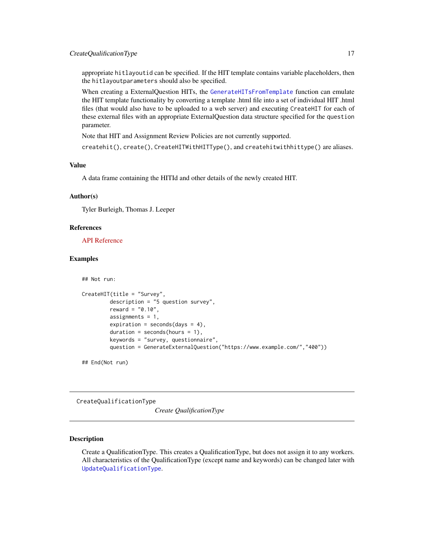### <span id="page-16-0"></span>CreateQualificationType 17

appropriate hitlayoutid can be specified. If the HIT template contains variable placeholders, then the hitlayoutparameters should also be specified.

When creating a ExternalQuestion HITs, the [GenerateHITsFromTemplate](#page-29-1) function can emulate the HIT template functionality by converting a template .html file into a set of individual HIT .html files (that would also have to be uploaded to a web server) and executing CreateHIT for each of these external files with an appropriate ExternalQuestion data structure specified for the question parameter.

Note that HIT and Assignment Review Policies are not currently supported.

createhit(), create(), CreateHITWithHITType(), and createhitwithhittype() are aliases.

### Value

A data frame containing the HITId and other details of the newly created HIT.

### Author(s)

Tyler Burleigh, Thomas J. Leeper

### References

[API Reference](https://docs.aws.amazon.com/AWSMechTurk/latest/AWSMturkAPI/ApiReference_CreateHITOperation.html)

## Not run:

### Examples

```
CreateHIT(title = "Survey",
        description = "5 question survey",
        reward = "0.10",
         assignments = 1,
         expiration = seconds(days = 4),
         duration = seconds(hours = 1),
         keywords = "survey, questionnaire",
         question = GenerateExternalQuestion("https://www.example.com/","400"))
```
## End(Not run)

<span id="page-16-1"></span>CreateQualificationType

*Create QualificationType*

### **Description**

Create a QualificationType. This creates a QualificationType, but does not assign it to any workers. All characteristics of the QualificationType (except name and keywords) can be changed later with [UpdateQualificationType](#page-74-1).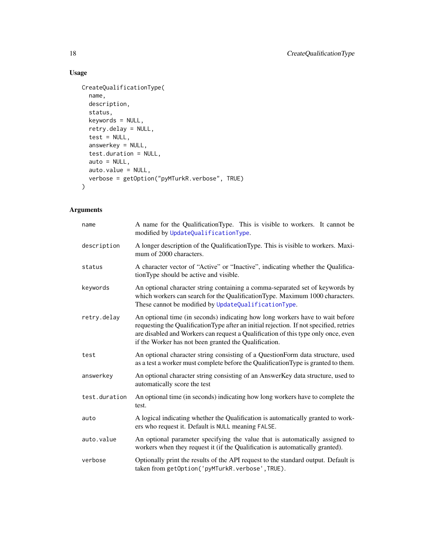### Usage

```
CreateQualificationType(
  name,
  description,
  status,
  keywords = NULL,
  retry.delay = NULL,
  test = NULL,answerkey = NULL,
  test.duration = NULL,
  auto = NULL,auto.value = NULL,
  verbose = getOption("pyMTurkR.verbose", TRUE)
\mathcal{L}
```
### Arguments

| name          | A name for the QualificationType. This is visible to workers. It cannot be<br>modified by UpdateQualificationType.                                                                                                                                                                                                     |
|---------------|------------------------------------------------------------------------------------------------------------------------------------------------------------------------------------------------------------------------------------------------------------------------------------------------------------------------|
| description   | A longer description of the QualificationType. This is visible to workers. Maxi-<br>mum of 2000 characters.                                                                                                                                                                                                            |
| status        | A character vector of "Active" or "Inactive", indicating whether the Qualifica-<br>tionType should be active and visible.                                                                                                                                                                                              |
| keywords      | An optional character string containing a comma-separated set of keywords by<br>which workers can search for the QualificationType. Maximum 1000 characters.<br>These cannot be modified by UpdateQualificationType.                                                                                                   |
| retry.delay   | An optional time (in seconds) indicating how long workers have to wait before<br>requesting the Qualification Type after an initial rejection. If not specified, retries<br>are disabled and Workers can request a Qualification of this type only once, even<br>if the Worker has not been granted the Qualification. |
| test          | An optional character string consisting of a QuestionForm data structure, used<br>as a test a worker must complete before the Qualification Type is granted to them.                                                                                                                                                   |
| answerkey     | An optional character string consisting of an AnswerKey data structure, used to<br>automatically score the test                                                                                                                                                                                                        |
| test.duration | An optional time (in seconds) indicating how long workers have to complete the<br>test.                                                                                                                                                                                                                                |
| auto          | A logical indicating whether the Qualification is automatically granted to work-<br>ers who request it. Default is NULL meaning FALSE.                                                                                                                                                                                 |
| auto.value    | An optional parameter specifying the value that is automatically assigned to<br>workers when they request it (if the Qualification is automatically granted).                                                                                                                                                          |
| verbose       | Optionally print the results of the API request to the standard output. Default is<br>taken from getOption('pyMTurkR.verbose', TRUE).                                                                                                                                                                                  |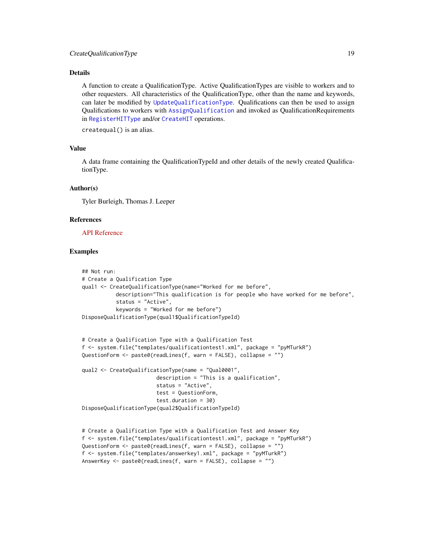### Details

A function to create a QualificationType. Active QualificationTypes are visible to workers and to other requesters. All characteristics of the QualificationType, other than the name and keywords, can later be modified by [UpdateQualificationType](#page-74-1). Qualifications can then be used to assign Qualifications to workers with [AssignQualification](#page-5-1) and invoked as QualificationRequirements in [RegisterHITType](#page-54-1) and/or [CreateHIT](#page-14-1) operations.

createqual() is an alias.

### Value

A data frame containing the QualificationTypeId and other details of the newly created QualificationType.

#### Author(s)

Tyler Burleigh, Thomas J. Leeper

#### References

#### [API Reference](https://docs.aws.amazon.com/AWSMechTurk/latest/AWSMturkAPI/ApiReference_CreateQualificationTypeOperation.html)

### Examples

```
## Not run:
# Create a Qualification Type
qual1 <- CreateQualificationType(name="Worked for me before",
          description="This qualification is for people who have worked for me before",
           status = "Active",
           keywords = "Worked for me before")
DisposeQualificationType(qual1$QualificationTypeId)
```

```
# Create a Qualification Type with a Qualification Test
f <- system.file("templates/qualificationtest1.xml", package = "pyMTurkR")
QuestionForm <- paste0(readLines(f, warn = FALSE), collapse = "")
```

```
qual2 <- CreateQualificationType(name = "Qual0001",
                        description = "This is a qualification",
                        status = "Active",
                        test = QuestionForm,
                        test.duration = 30)
DisposeQualificationType(qual2$QualificationTypeId)
```

```
# Create a Qualification Type with a Qualification Test and Answer Key
f <- system.file("templates/qualificationtest1.xml", package = "pyMTurkR")
QuestionForm <- paste0(readLines(f, warn = FALSE), collapse = "")
f <- system.file("templates/answerkey1.xml", package = "pyMTurkR")
AnswerKey <- paste0(readLines(f, warn = FALSE), collapse = "")
```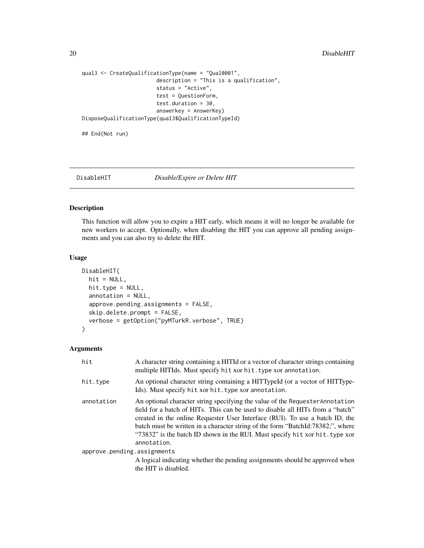```
qual3 <- CreateQualificationType(name = "Qual0001",
                       description = "This is a qualification",
                        status = "Active",
                        test = QuestionForm,
                        test.duration = 30,
                        answerkey = AnswerKey)
DisposeQualificationType(qual3$QualificationTypeId)
```
## End(Not run)

#### DisableHIT *Disable/Expire or Delete HIT*

#### Description

This function will allow you to expire a HIT early, which means it will no longer be available for new workers to accept. Optionally, when disabling the HIT you can approve all pending assignments and you can also try to delete the HIT.

#### Usage

```
DisableHIT(
 hit = NULL,hit.type = NULL,
  annotation = NULL,
  approve.pending.assignments = FALSE,
  skip.delete.prompt = FALSE,
  verbose = getOption("pyMTurkR.verbose", TRUE)
)
```
### Arguments

| hit                         | A character string containing a HITId or a vector of character strings containing<br>multiple HITIds. Must specify hit xor hit. type xor annotation.                                                                                                                                                                                                                                                                              |
|-----------------------------|-----------------------------------------------------------------------------------------------------------------------------------------------------------------------------------------------------------------------------------------------------------------------------------------------------------------------------------------------------------------------------------------------------------------------------------|
| hit.type                    | An optional character string containing a HITTypeId (or a vector of HITType-<br>Ids). Must specify hit xor hit. type xor annotation.                                                                                                                                                                                                                                                                                              |
| annotation                  | An optional character string specifying the value of the Requester Annotation<br>field for a batch of HITs. This can be used to disable all HITs from a "batch"<br>created in the online Requester User Interface (RUI). To use a batch ID, the<br>batch must be written in a character string of the form "BatchId:78382;", where<br>"73832" is the batch ID shown in the RUI. Must specify hit xor hit. type xor<br>annotation. |
| approve.pending.assignments |                                                                                                                                                                                                                                                                                                                                                                                                                                   |
|                             | A logical indicating whether the pending assignments should be approved when<br>the HIT is disabled.                                                                                                                                                                                                                                                                                                                              |

<span id="page-19-0"></span>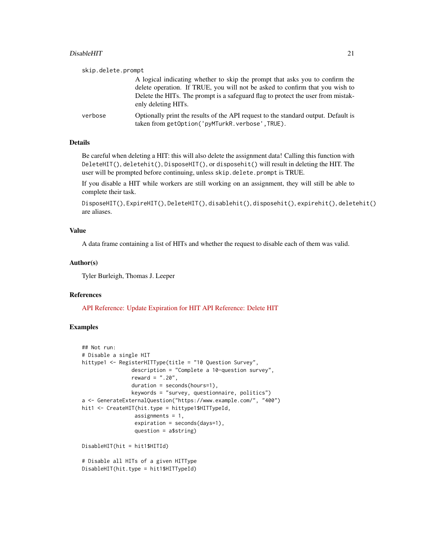#### DisableHIT 21

| skip.delete.prompt |                                                                                                                                                                                                                                                                         |
|--------------------|-------------------------------------------------------------------------------------------------------------------------------------------------------------------------------------------------------------------------------------------------------------------------|
|                    | A logical indicating whether to skip the prompt that asks you to confirm the<br>delete operation. If TRUE, you will not be asked to confirm that you wish to<br>Delete the HITs. The prompt is a safeguard flag to protect the user from mistak-<br>enly deleting HITs. |
| verbose            | Optionally print the results of the API request to the standard output. Default is<br>taken from getOption('pyMTurkR.verbose',TRUE).                                                                                                                                    |

### Details

Be careful when deleting a HIT: this will also delete the assignment data! Calling this function with DeleteHIT(), deletehit(), DisposeHIT(), or disposehit() will result in deleting the HIT. The user will be prompted before continuing, unless skip.delete.prompt is TRUE.

If you disable a HIT while workers are still working on an assignment, they will still be able to complete their task.

DisposeHIT(), ExpireHIT(), DeleteHIT(), disablehit(), disposehit(), expirehit(), deletehit() are aliases.

### Value

A data frame containing a list of HITs and whether the request to disable each of them was valid.

### Author(s)

Tyler Burleigh, Thomas J. Leeper

### References

[API Reference: Update Expiration for HIT](https://docs.aws.amazon.com/AWSMechTurk/latest/AWSMturkAPI/ApiReference_UpdateExpirationForHITOperation.html) [API Reference: Delete HIT](https://docs.aws.amazon.com/AWSMechTurk/latest/AWSMturkAPI/ApiReference_DeleteHITOperation.html)

### Examples

```
## Not run:
# Disable a single HIT
hittype1 <- RegisterHITType(title = "10 Question Survey",
                description = "Complete a 10-question survey",
                reward = ".20",duration = seconds(hours=1),
                keywords = "survey, questionnaire, politics")
a <- GenerateExternalQuestion("https://www.example.com/", "400")
hit1 <- CreateHIT(hit.type = hittype1$HITTypeId,
                 assignments = 1,
                 expiration = seconds(days=1),
                 question = a$string)
DisableHIT(hit = hit1$HITId)
# Disable all HITs of a given HITType
DisableHIT(hit.type = hit1$HITTypeId)
```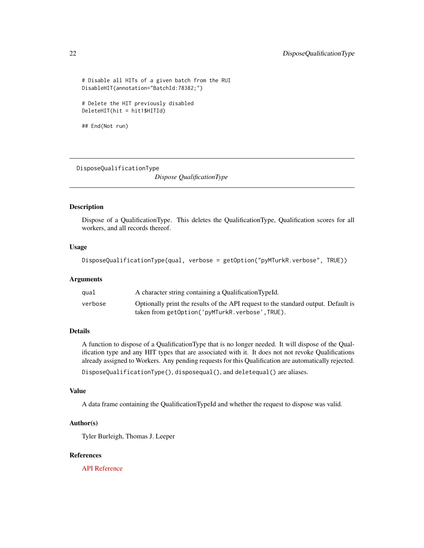```
# Disable all HITs of a given batch from the RUI
DisableHIT(annotation="BatchId:78382;")
```
# Delete the HIT previously disabled DeleteHIT(hit = hit1\$HITId)

```
## End(Not run)
```
DisposeQualificationType

*Dispose QualificationType*

#### Description

Dispose of a QualificationType. This deletes the QualificationType, Qualification scores for all workers, and all records thereof.

### Usage

```
DisposeQualificationType(qual, verbose = getOption("pyMTurkR.verbose", TRUE))
```
### Arguments

| qual    | A character string containing a Qualification TypeId.                                                                                |
|---------|--------------------------------------------------------------------------------------------------------------------------------------|
| verbose | Optionally print the results of the API request to the standard output. Default is<br>taken from getOption('pyMTurkR.verbose',TRUE). |

### Details

A function to dispose of a QualificationType that is no longer needed. It will dispose of the Qualification type and any HIT types that are associated with it. It does not not revoke Qualifications already assigned to Workers. Any pending requests for this Qualification are automatically rejected. DisposeQualificationType(), disposequal(), and deletequal() are aliases.

### Value

A data frame containing the QualificationTypeId and whether the request to dispose was valid.

### Author(s)

Tyler Burleigh, Thomas J. Leeper

### References

[API Reference](https://docs.aws.amazon.com/AWSMechTurk/latest/AWSMturkAPI/ApiReference_DeleteQualificationTypeOperation.html)

<span id="page-21-0"></span>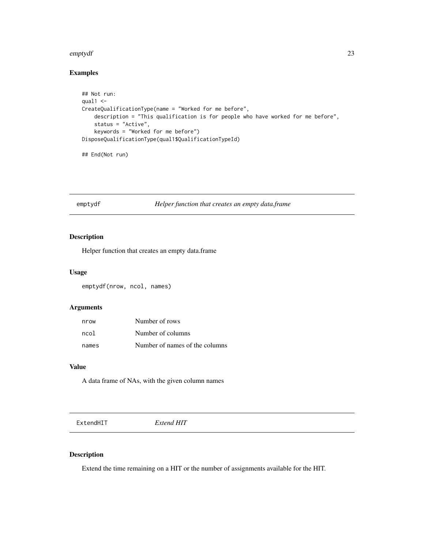#### <span id="page-22-0"></span>emptydf 23

### Examples

```
## Not run:
qual1 <-
CreateQualificationType(name = "Worked for me before",
    description = "This qualification is for people who have worked for me before",
    status = "Active",
    keywords = "Worked for me before")
DisposeQualificationType(qual1$QualificationTypeId)
```
## End(Not run)

emptydf *Helper function that creates an empty data.frame*

### Description

Helper function that creates an empty data.frame

### Usage

emptydf(nrow, ncol, names)

### Arguments

| nrow  | Number of rows                 |
|-------|--------------------------------|
| ncol  | Number of columns              |
| names | Number of names of the columns |

### Value

A data frame of NAs, with the given column names

ExtendHIT *Extend HIT*

### Description

Extend the time remaining on a HIT or the number of assignments available for the HIT.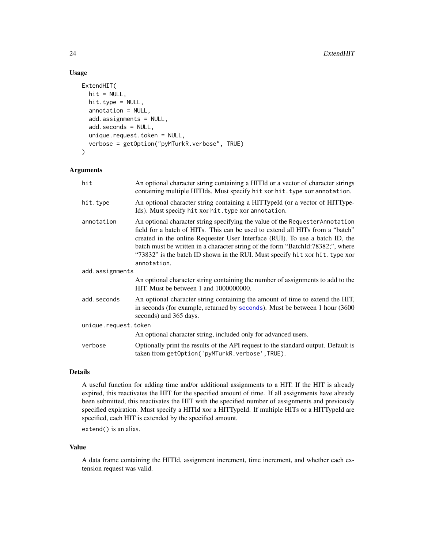### Usage

```
ExtendHIT(
 hit = NULL,hit.type = NULL,
  annotation = NULL,
  add.assignments = NULL,
  add.seconds = NULL,
  unique.request.token = NULL,
  verbose = getOption("pyMTurkR.verbose", TRUE)
\mathcal{L}
```
### Arguments

| hit                  | An optional character string containing a HITId or a vector of character strings<br>containing multiple HITIds. Must specify hit xor hit. type xor annotation.                                                                                                                                                                                                                                                                   |
|----------------------|----------------------------------------------------------------------------------------------------------------------------------------------------------------------------------------------------------------------------------------------------------------------------------------------------------------------------------------------------------------------------------------------------------------------------------|
| hit.type             | An optional character string containing a HITTypeId (or a vector of HITType-<br>Ids). Must specify hit xor hit. type xor annotation.                                                                                                                                                                                                                                                                                             |
| annotation           | An optional character string specifying the value of the Requester Annotation<br>field for a batch of HITs. This can be used to extend all HITs from a "batch"<br>created in the online Requester User Interface (RUI). To use a batch ID, the<br>batch must be written in a character string of the form "BatchId:78382;", where<br>"73832" is the batch ID shown in the RUI. Must specify hit xor hit. type xor<br>annotation. |
| add.assignments      |                                                                                                                                                                                                                                                                                                                                                                                                                                  |
|                      | An optional character string containing the number of assignments to add to the<br>HIT. Must be between 1 and 1000000000.                                                                                                                                                                                                                                                                                                        |
| add.seconds          | An optional character string containing the amount of time to extend the HIT,<br>in seconds (for example, returned by seconds). Must be between 1 hour (3600)<br>seconds) and 365 days.                                                                                                                                                                                                                                          |
| unique.request.token |                                                                                                                                                                                                                                                                                                                                                                                                                                  |
|                      | An optional character string, included only for advanced users.                                                                                                                                                                                                                                                                                                                                                                  |
| verbose              | Optionally print the results of the API request to the standard output. Default is<br>taken from getOption('pyMTurkR.verbose', TRUE).                                                                                                                                                                                                                                                                                            |

### Details

A useful function for adding time and/or additional assignments to a HIT. If the HIT is already expired, this reactivates the HIT for the specified amount of time. If all assignments have already been submitted, this reactivates the HIT with the specified number of assignments and previously specified expiration. Must specify a HITId xor a HITTypeId. If multiple HITs or a HITTypeId are specified, each HIT is extended by the specified amount.

extend() is an alias.

### Value

A data frame containing the HITId, assignment increment, time increment, and whether each extension request was valid.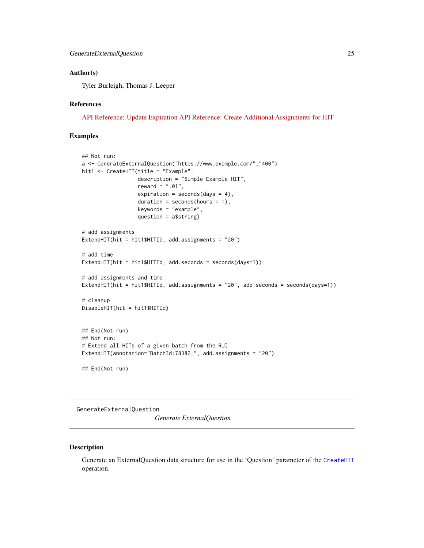#### <span id="page-24-0"></span>Author(s)

Tyler Burleigh, Thomas J. Leeper

#### References

[API Reference: Update Expiration](https://docs.aws.amazon.com/AWSMechTurk/latest/AWSMturkAPI/ApiReference_UpdateExpirationForHITOperation.html) [API Reference: Create Additional Assignments for HIT](https://docs.aws.amazon.com/AWSMechTurk/latest/AWSMturkAPI/ApiReference_CreateAdditionalAssignmentsForHITOperation.html)

#### Examples

```
## Not run:
a <- GenerateExternalQuestion("https://www.example.com/","400")
hit1 <- CreateHIT(title = "Example",
                  description = "Simple Example HIT",
                  reward = ".01",expiration = seconds(days = 4),
                  duration = seconds(hours = 1),
                  keywords = "example",
                  question = a$string)
# add assignments
ExtendHIT(hit = hit1$HITId, add.assignments = "20")
# add time
ExtendHIT(hit = hit1$HITId, add.seconds = seconds(days=1))
# add assignments and time
ExtendHIT(hit = hit1$HITId, add.assignments = "20", add.seconds = seconds(days=1))
# cleanup
DisableHIT(hit = hit1$HITId)
## End(Not run)
## Not run:
# Extend all HITs of a given batch from the RUI
ExtendHIT(annotation="BatchId:78382;", add.assignments = "20")
## End(Not run)
```
<span id="page-24-1"></span>GenerateExternalQuestion

*Generate ExternalQuestion*

#### Description

Generate an ExternalQuestion data structure for use in the 'Question' parameter of the [CreateHIT](#page-14-1) operation.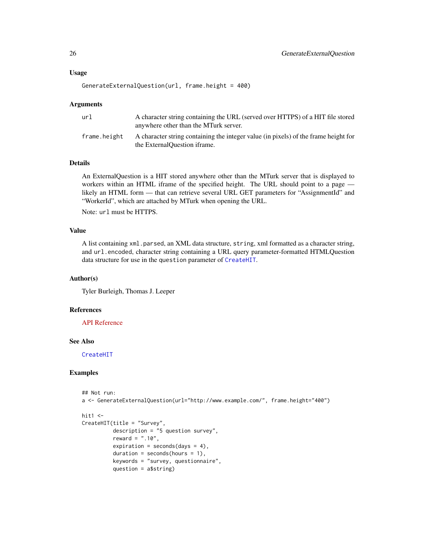### Usage

```
GenerateExternalQuestion(url, frame.height = 400)
```
#### Arguments

| url          | A character string containing the URL (served over HTTPS) of a HIT file stored<br>anywhere other than the MTurk server. |
|--------------|-------------------------------------------------------------------------------------------------------------------------|
| frame.height | A character string containing the integer value (in pixels) of the frame height for<br>the ExternalQuestion iframe.     |

### Details

An ExternalQuestion is a HIT stored anywhere other than the MTurk server that is displayed to workers within an HTML iframe of the specified height. The URL should point to a page likely an HTML form — that can retrieve several URL GET parameters for "AssignmentId" and "WorkerId", which are attached by MTurk when opening the URL.

Note: url must be HTTPS.

### Value

A list containing xml.parsed, an XML data structure, string, xml formatted as a character string, and url.encoded, character string containing a URL query parameter-formatted HTMLQuestion data structure for use in the question parameter of [CreateHIT](#page-14-1).

### Author(s)

Tyler Burleigh, Thomas J. Leeper

### References

[API Reference](https://docs.aws.amazon.com/AWSMechTurk/latest/AWSMturkAPI/ApiReference_ExternalQuestionArticle.html)

#### See Also

[CreateHIT](#page-14-1)

### Examples

```
## Not run:
a <- GenerateExternalQuestion(url="http://www.example.com/", frame.height="400")
hit1 <-
CreateHIT(title = "Survey",
```

```
description = "5 question survey",
reward = ".10",
expiration = seconds(days = 4),
duration = seconds(hours = 1),
keywords = "survey, questionnaire",
question = a$string)
```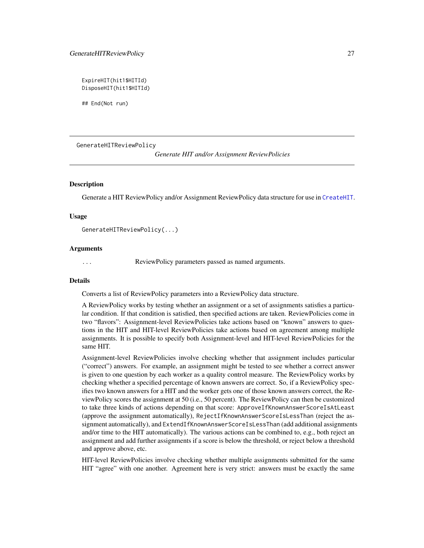<span id="page-26-0"></span>ExpireHIT(hit1\$HITId) DisposeHIT(hit1\$HITId)

## End(Not run)

<span id="page-26-2"></span>GenerateHITReviewPolicy

*Generate HIT and/or Assignment ReviewPolicies*

#### <span id="page-26-1"></span>**Description**

Generate a HIT ReviewPolicy and/or Assignment ReviewPolicy data structure for use in [CreateHIT](#page-14-1).

#### Usage

GenerateHITReviewPolicy(...)

#### Arguments

ReviewPolicy parameters passed as named arguments.

#### Details

Converts a list of ReviewPolicy parameters into a ReviewPolicy data structure.

A ReviewPolicy works by testing whether an assignment or a set of assignments satisfies a particular condition. If that condition is satisfied, then specified actions are taken. ReviewPolicies come in two "flavors": Assignment-level ReviewPolicies take actions based on "known" answers to questions in the HIT and HIT-level ReviewPolicies take actions based on agreement among multiple assignments. It is possible to specify both Assignment-level and HIT-level ReviewPolicies for the same HIT.

Assignment-level ReviewPolicies involve checking whether that assignment includes particular ("correct") answers. For example, an assignment might be tested to see whether a correct answer is given to one question by each worker as a quality control measure. The ReviewPolicy works by checking whether a specified percentage of known answers are correct. So, if a ReviewPolicy specifies two known answers for a HIT and the worker gets one of those known answers correct, the ReviewPolicy scores the assignment at 50 (i.e., 50 percent). The ReviewPolicy can then be customized to take three kinds of actions depending on that score: ApproveIfKnownAnswerScoreIsAtLeast (approve the assignment automatically), RejectIfKnownAnswerScoreIsLessThan (reject the assignment automatically), and ExtendIfKnownAnswerScoreIsLessThan (add additional assignments and/or time to the HIT automatically). The various actions can be combined to, e.g., both reject an assignment and add further assignments if a score is below the threshold, or reject below a threshold and approve above, etc.

HIT-level ReviewPolicies involve checking whether multiple assignments submitted for the same HIT "agree" with one another. Agreement here is very strict: answers must be exactly the same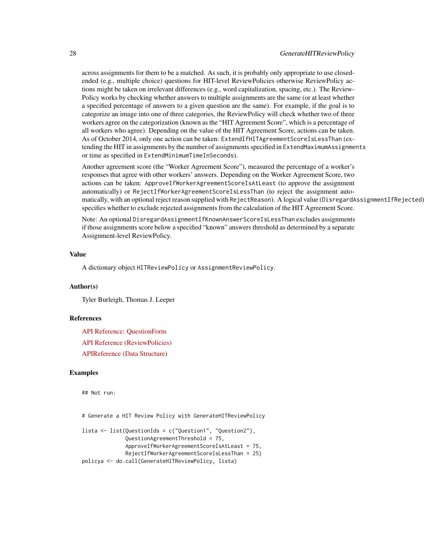across assignments for them to be a matched. As such, it is probably only appropriate to use closedended (e.g., multiple choice) questions for HIT-level ReviewPolicies otherwise ReviewPolicy actions might be taken on irrelevant differences (e.g., word capitalization, spacing, etc.). The Review-Policy works by checking whether answers to multiple assignments are the same (or at least whether a specified percentage of answers to a given question are the same). For example, if the goal is to categorize an image into one of three categories, the ReviewPolicy will check whether two of three workers agree on the categorization (known as the "HIT Agreement Score", which is a percentage of all workers who agree). Depending on the value of the HIT Agreement Score, actions can be taken. As of October 2014, only one action can be taken: ExtendIfHITAgreementScoreIsLessThan (extending the HIT in assignments by the number of assignments specified in ExtendMaximumAssignments or time as specified in ExtendMinimumTimeInSeconds).

Another agreement score (the "Worker Agreement Score"), measured the percentage of a worker's responses that agree with other workers' answers. Depending on the Worker Agreement Score, two actions can be taken: ApproveIfWorkerAgreementScoreIsAtLeast (to approve the assignment automatically) or RejectIfWorkerAgreementScoreIsLessThan (to reject the assignment automatically, with an optional reject reason supplied with RejectReason). A logical value (DisregardAssignmentIfRejected) specifies whether to exclude rejected assignments from the calculation of the HIT Agreement Score.

Note: An optional DisregardAssignmentIfKnownAnswerScoreIsLessThan excludes assignments if those assignments score below a specified "known" answers threshold as determined by a separate Assignment-level ReviewPolicy.

### Value

A dictionary object HITReviewPolicy or AssignmentReviewPolicy.

#### Author(s)

Tyler Burleigh, Thomas J. Leeper

#### References

[API Reference: QuestionForm](https://docs.aws.amazon.com/AWSMechTurk/latest/AWSMturkAPI/ApiReference_QuestionFormDataStructureArticle.html) [API Reference \(ReviewPolicies\)](https://docs.aws.amazon.com/AWSMechTurk/latest/AWSMturkAPI/ApiReference_ReviewPoliciesArticle.html) [APIReference \(Data Structure\)](https://docs.aws.amazon.com/AWSMechTurk/latest/AWSMturkAPI/ApiReference_HITReviewPolicyDataStructureArticle.html)

#### Examples

## Not run:

# Generate a HIT Review Policy with GenerateHITReviewPolicy

```
lista <- list(QuestionIds = c("Question1", "Question2"),
              QuestionAgreementThreshold = 75,
             ApproveIfWorkerAgreementScoreIsAtLeast = 75,
              RejectIfWorkerAgreementScoreIsLessThan = 25)
policya <- do.call(GenerateHITReviewPolicy, lista)
```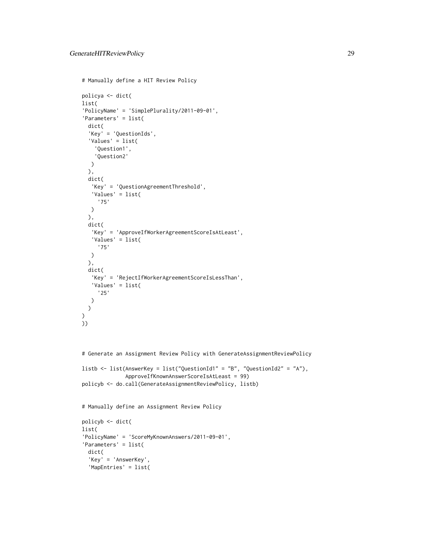```
# Manually define a HIT Review Policy
policya <- dict(
list(
'PolicyName' = 'SimplePlurality/2011-09-01',
'Parameters' = list(
 dict(
  'Key' = 'QuestionIds',
  'Values' = list(
    'Question1',
    'Question2'
  )
  ),
  dict(
   'Key' = 'QuestionAgreementThreshold',
   'Values' = list(
    '75'
  )
  ),
  dict(
   'Key' = 'ApproveIfWorkerAgreementScoreIsAtLeast',
   'Values' = list(
     '75'
  \lambda),
  dict(
   'Key' = 'RejectIfWorkerAgreementScoreIsLessThan',
   'Values' = list(
     '25'
  )
  \mathcal{L})
))
# Generate an Assignment Review Policy with GenerateAssignmentReviewPolicy
listb \le list(AnswerKey = list("QuestionId1" = "B", "QuestionId2" = "A"),
              ApproveIfKnownAnswerScoreIsAtLeast = 99)
policyb <- do.call(GenerateAssignmentReviewPolicy, listb)
# Manually define an Assignment Review Policy
policyb <- dict(
list(
'PolicyName' = 'ScoreMyKnownAnswers/2011-09-01',
'Parameters' = list(
  dict(
  'Key' = 'AnswerKey',
  'MapEntries' = list(
```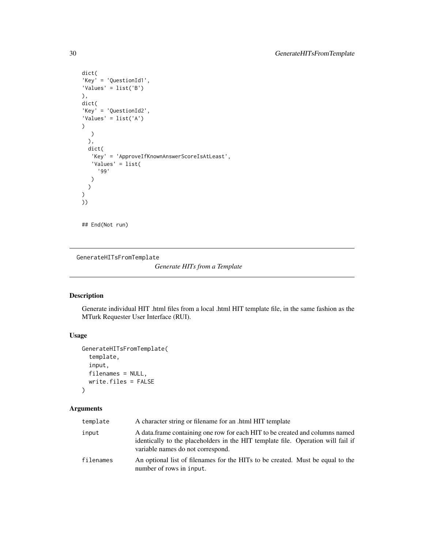```
dict(
'Key' = 'QuestionId1',
'Values' = list('B')
),
dict(
'Key' = 'QuestionId2',
'Values' = list('A'))
  )
  ),
  dict(
   'Key' = 'ApproveIfKnownAnswerScoreIsAtLeast',
   'Values' = list(
     '99'
  )
  )
)
))
```
## End(Not run)

<span id="page-29-1"></span>GenerateHITsFromTemplate

*Generate HITs from a Template*

### Description

Generate individual HIT .html files from a local .html HIT template file, in the same fashion as the MTurk Requester User Interface (RUI).

### Usage

```
GenerateHITsFromTemplate(
  template,
  input,
  filenames = NULL,
  write.files = FALSE
\mathcal{L}
```
### Arguments

| template  | A character string or filename for an .html HIT template                                                                                                                                              |
|-----------|-------------------------------------------------------------------------------------------------------------------------------------------------------------------------------------------------------|
| input     | A data frame containing one row for each HIT to be created and columns named<br>identically to the placeholders in the HIT template file. Operation will fail if<br>variable names do not correspond. |
| filenames | An optional list of filenames for the HITs to be created. Must be equal to the<br>number of rows in input.                                                                                            |

<span id="page-29-0"></span>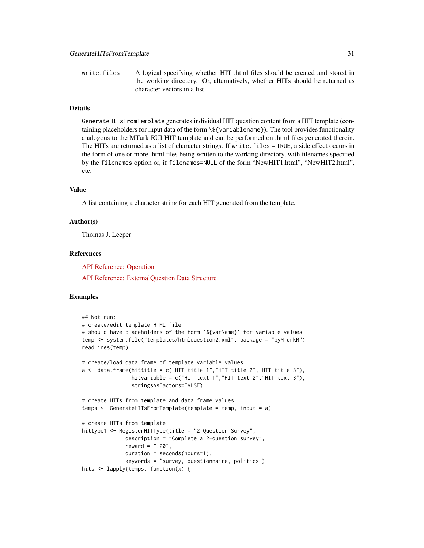write.files A logical specifying whether HIT .html files should be created and stored in the working directory. Or, alternatively, whether HITs should be returned as character vectors in a list.

### Details

GenerateHITsFromTemplate generates individual HIT question content from a HIT template (containing placeholders for input data of the form \\${variablename}). The tool provides functionality analogous to the MTurk RUI HIT template and can be performed on .html files generated therein. The HITs are returned as a list of character strings. If write.files = TRUE, a side effect occurs in the form of one or more .html files being written to the working directory, with filenames specified by the filenames option or, if filenames=NULL of the form "NewHIT1.html", "NewHIT2.html", etc.

#### Value

A list containing a character string for each HIT generated from the template.

#### Author(s)

Thomas J. Leeper

#### References

[API Reference: Operation](https://docs.aws.amazon.com/AWSMechTurk/latest/RequesterUI/CreatingaHITTemplate.html)

[API Reference: ExternalQuestion Data Structure](https://docs.aws.amazon.com/AWSMechTurk/latest/AWSMturkAPI/ApiReference_ExternalQuestionArticle.html)

#### Examples

```
## Not run:
# create/edit template HTML file
# should have placeholders of the form `${varName}` for variable values
temp <- system.file("templates/htmlquestion2.xml", package = "pyMTurkR")
readLines(temp)
# create/load data.frame of template variable values
a \leftarrow data. frame(hittitle = c("HIT title 1", "HIT title 2", "HIT title 3"),
                hitvariable = c("HIT text 1","HIT text 2","HIT text 3"),
                stringsAsFactors=FALSE)
# create HITs from template and data.frame values
temps <- GenerateHITsFromTemplate(template = temp, input = a)
# create HITs from template
hittype1 <- RegisterHITType(title = "2 Question Survey",
              description = "Complete a 2-question survey",
              reward = ".20",duration = seconds(hours=1),
              keywords = "survey, questionnaire, politics")
hits <- lapply(temps, function(x) {
```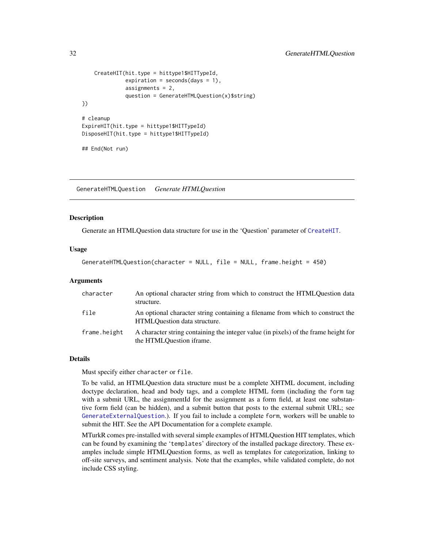```
CreateHIT(hit.type = hittype1$HITTypeId,
              expiration = seconds(days = 1),
              assignments = 2,
              question = GenerateHTMLQuestion(x)$string)
})
# cleanup
ExpireHIT(hit.type = hittype1$HITTypeId)
DisposeHIT(hit.type = hittype1$HITTypeId)
## End(Not run)
```
GenerateHTMLQuestion *Generate HTMLQuestion*

#### **Description**

Generate an HTMLQuestion data structure for use in the 'Question' parameter of [CreateHIT](#page-14-1).

#### Usage

GenerateHTMLQuestion(character = NULL, file = NULL, frame.height = 450)

### Arguments

| character    | An optional character string from which to construct the HTMLQuestion data<br>structure.                        |
|--------------|-----------------------------------------------------------------------------------------------------------------|
| file         | An optional character string containing a filename from which to construct the<br>HTMLQuestion data structure.  |
| frame.height | A character string containing the integer value (in pixels) of the frame height for<br>the HTMLOuestion iframe. |

#### Details

Must specify either character or file.

To be valid, an HTMLQuestion data structure must be a complete XHTML document, including doctype declaration, head and body tags, and a complete HTML form (including the form tag with a submit URL, the assignmentId for the assignment as a form field, at least one substantive form field (can be hidden), and a submit button that posts to the external submit URL; see [GenerateExternalQuestion](#page-24-1).). If you fail to include a complete form, workers will be unable to submit the HIT. See the API Documentation for a complete example.

MTurkR comes pre-installed with several simple examples of HTMLQuestion HIT templates, which can be found by examining the 'templates' directory of the installed package directory. These examples include simple HTMLQuestion forms, as well as templates for categorization, linking to off-site surveys, and sentiment analysis. Note that the examples, while validated complete, do not include CSS styling.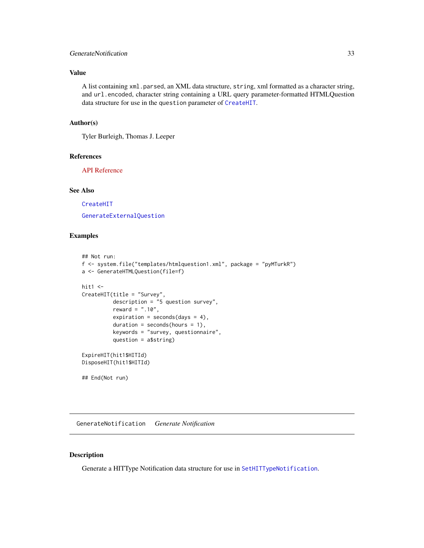### <span id="page-32-0"></span>GenerateNotification 33

### Value

A list containing xml.parsed, an XML data structure, string, xml formatted as a character string, and url.encoded, character string containing a URL query parameter-formatted HTMLQuestion data structure for use in the question parameter of [CreateHIT](#page-14-1).

### Author(s)

Tyler Burleigh, Thomas J. Leeper

#### References

[API Reference](https://docs.aws.amazon.com/AWSMechTurk/latest/AWSMturkAPI/ApiReference_HTMLQuestionArticle.html)

### See Also

[CreateHIT](#page-14-1)

[GenerateExternalQuestion](#page-24-1)

### Examples

```
## Not run:
f <- system.file("templates/htmlquestion1.xml", package = "pyMTurkR")
a <- GenerateHTMLQuestion(file=f)
hit1 < -CreateHIT(title = "Survey",
          description = "5 question survey",
          reward = ".10",expiration = seconds(days = 4),
          duration = seconds(hours = 1),
          keywords = "survey, questionnaire",
          question = a$string)
ExpireHIT(hit1$HITId)
DisposeHIT(hit1$HITId)
## End(Not run)
```
GenerateNotification *Generate Notification*

#### Description

Generate a HITType Notification data structure for use in [SetHITTypeNotification](#page-65-1).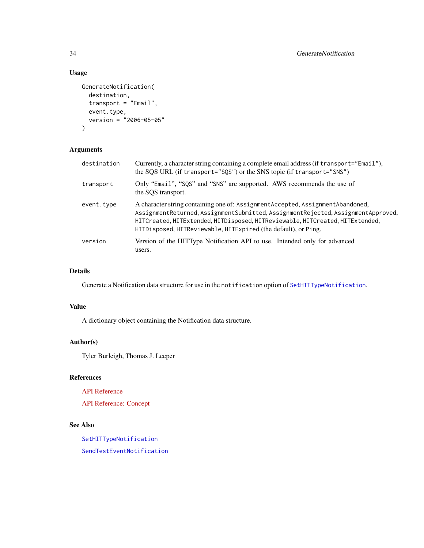### Usage

```
GenerateNotification(
 destination,
  transport = "Email",
 event.type,
 version = "2006-05-05"
)
```
### Arguments

| destination | Currently, a character string containing a complete email address (if transport="Email"),<br>the SQS URL (if transport="SQS") or the SNS topic (if transport="SNS")                                                                                                                                                     |
|-------------|-------------------------------------------------------------------------------------------------------------------------------------------------------------------------------------------------------------------------------------------------------------------------------------------------------------------------|
| transport   | Only "Email", "SQS" and "SNS" are supported. AWS recommends the use of<br>the SQS transport.                                                                                                                                                                                                                            |
| event.type  | A character string containing one of: Assignment Accepted, Assignment Abandoned,<br>AssignmentReturned, AssignmentSubmitted, AssignmentRejected, AssignmentApproved,<br>HITCreated, HITExtended, HITDisposed, HITReviewable, HITCreated, HITExtended,<br>HITDisposed, HITReviewable, HITExpired (the default), or Ping. |
| version     | Version of the HITType Notification API to use. Intended only for advanced<br>users.                                                                                                                                                                                                                                    |

### Details

Generate a Notification data structure for use in the notification option of [SetHITTypeNotification](#page-65-1).

### Value

A dictionary object containing the Notification data structure.

### Author(s)

Tyler Burleigh, Thomas J. Leeper

### References

[API Reference](https://docs.aws.amazon.com/AWSMechTurk/latest/AWSMturkAPI/ApiReference_NotificationDataStructureArticle.html)

[API Reference: Concept](https://docs.aws.amazon.com/AWSMechTurk/latest/AWSMechanicalTurkRequester/Concepts_NotificationsArticle.html)

### See Also

[SetHITTypeNotification](#page-65-1) [SendTestEventNotification](#page-62-1)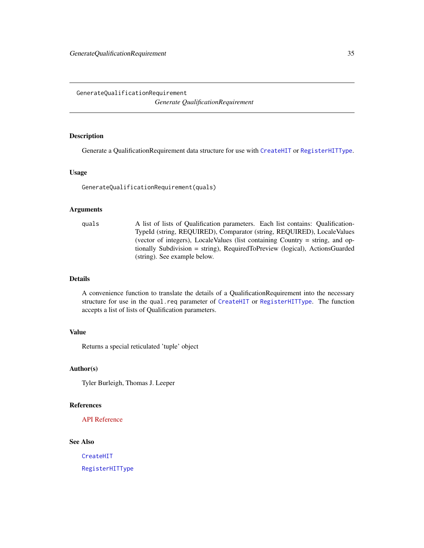<span id="page-34-1"></span><span id="page-34-0"></span>GenerateQualificationRequirement

*Generate QualificationRequirement*

### Description

Generate a QualificationRequirement data structure for use with [CreateHIT](#page-14-1) or [RegisterHITType](#page-54-1).

#### Usage

GenerateQualificationRequirement(quals)

#### Arguments

quals A list of lists of Qualification parameters. Each list contains: Qualification-TypeId (string, REQUIRED), Comparator (string, REQUIRED), LocaleValues (vector of integers), LocaleValues (list containing Country = string, and optionally Subdivision = string), RequiredToPreview (logical), ActionsGuarded (string). See example below.

### Details

A convenience function to translate the details of a QualificationRequirement into the necessary structure for use in the qual.req parameter of [CreateHIT](#page-14-1) or [RegisterHITType](#page-54-1). The function accepts a list of lists of Qualification parameters.

### Value

Returns a special reticulated 'tuple' object

### Author(s)

Tyler Burleigh, Thomas J. Leeper

#### References

[API Reference](https://docs.aws.amazon.com/AWSMechTurk/latest/AWSMturkAPI/ApiReference_QualificationRequirementDataStructureArticle.html)

### See Also

[CreateHIT](#page-14-1)

[RegisterHITType](#page-54-1)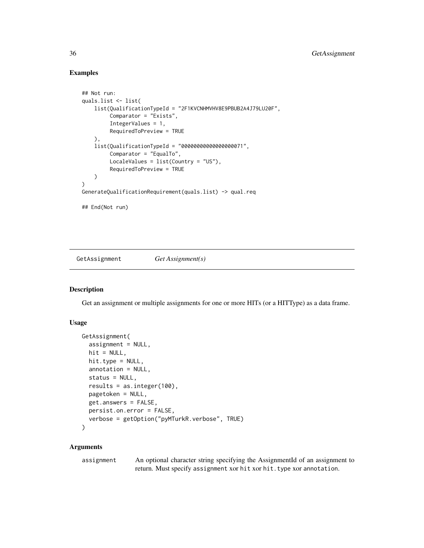### Examples

```
## Not run:
quals.list <- list(
    list(QualificationTypeId = "2F1KVCNHMVHV8E9PBUB2A4J79LU20F",
         Comparator = "Exists",
         IntegerValues = 1,
         RequiredToPreview = TRUE
    ),
    list(QualificationTypeId = "00000000000000000071",
         Comparator = "EqualTo",
         LocaleValues = list(Country = "US"),
         RequiredToPreview = TRUE
    \lambda)
GenerateQualificationRequirement(quals.list) -> qual.req
## End(Not run)
```
<span id="page-35-2"></span>GetAssignment *Get Assignment(s)*

### <span id="page-35-1"></span>Description

Get an assignment or multiple assignments for one or more HITs (or a HITType) as a data frame.

### Usage

```
GetAssignment(
  assignment = NULL,
  hit = NULL,hit.type = NULL,
  annotation = NULL,
  status = NULL,
  results = as.integer(100),
  pagetoken = NULL,
  get.answers = FALSE,
 persist.on.error = FALSE,
  verbose = getOption("pyMTurkR.verbose", TRUE)
)
```
#### Arguments

assignment An optional character string specifying the AssignmentId of an assignment to return. Must specify assignment xor hit xor hit.type xor annotation.

<span id="page-35-0"></span>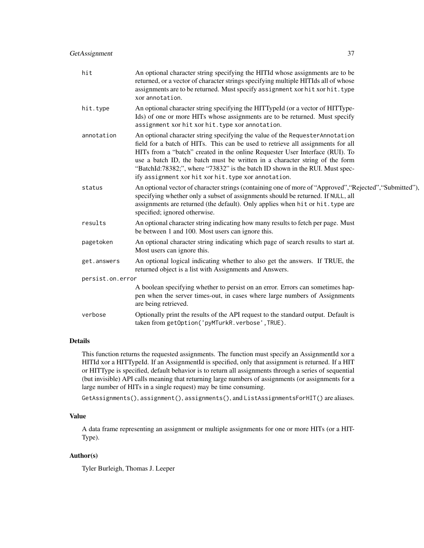| hit              | An optional character string specifying the HITId whose assignments are to be<br>returned, or a vector of character strings specifying multiple HITIds all of whose<br>assignments are to be returned. Must specify assignment xor hit xor hit. type<br>xor annotation.                                                                                                                                                                                                 |
|------------------|-------------------------------------------------------------------------------------------------------------------------------------------------------------------------------------------------------------------------------------------------------------------------------------------------------------------------------------------------------------------------------------------------------------------------------------------------------------------------|
| hit.type         | An optional character string specifying the HITTypeId (or a vector of HITType-<br>Ids) of one or more HITs whose assignments are to be returned. Must specify<br>assignment xor hit xor hit. type xor annotation.                                                                                                                                                                                                                                                       |
| annotation       | An optional character string specifying the value of the Requester Annotation<br>field for a batch of HITs. This can be used to retrieve all assignments for all<br>HITs from a "batch" created in the online Requester User Interface (RUI). To<br>use a batch ID, the batch must be written in a character string of the form<br>"BatchId:78382;", where "73832" is the batch ID shown in the RUI. Must spec-<br>ify assignment xor hit xor hit. type xor annotation. |
| status           | An optional vector of character strings (containing one of more of "Approved", "Rejected", "Submitted"),<br>specifying whether only a subset of assignments should be returned. If NULL, all<br>assignments are returned (the default). Only applies when hit or hit. type are<br>specified; ignored otherwise.                                                                                                                                                         |
| results          | An optional character string indicating how many results to fetch per page. Must<br>be between 1 and 100. Most users can ignore this.                                                                                                                                                                                                                                                                                                                                   |
| pagetoken        | An optional character string indicating which page of search results to start at.<br>Most users can ignore this.                                                                                                                                                                                                                                                                                                                                                        |
| get.answers      | An optional logical indicating whether to also get the answers. If TRUE, the<br>returned object is a list with Assignments and Answers.                                                                                                                                                                                                                                                                                                                                 |
| persist.on.error |                                                                                                                                                                                                                                                                                                                                                                                                                                                                         |
|                  | A boolean specifying whether to persist on an error. Errors can sometimes hap-<br>pen when the server times-out, in cases where large numbers of Assignments<br>are being retrieved.                                                                                                                                                                                                                                                                                    |
| verbose          | Optionally print the results of the API request to the standard output. Default is<br>taken from getOption('pyMTurkR.verbose', TRUE).                                                                                                                                                                                                                                                                                                                                   |
|                  |                                                                                                                                                                                                                                                                                                                                                                                                                                                                         |

This function returns the requested assignments. The function must specify an AssignmentId xor a HITId xor a HITTypeId. If an AssignmentId is specified, only that assignment is returned. If a HIT or HITType is specified, default behavior is to return all assignments through a series of sequential (but invisible) API calls meaning that returning large numbers of assignments (or assignments for a large number of HITs in a single request) may be time consuming.

GetAssignments(), assignment(), assignments(), and ListAssignmentsForHIT() are aliases.

#### Value

A data frame representing an assignment or multiple assignments for one or more HITs (or a HIT-Type).

# Author(s)

Tyler Burleigh, Thomas J. Leeper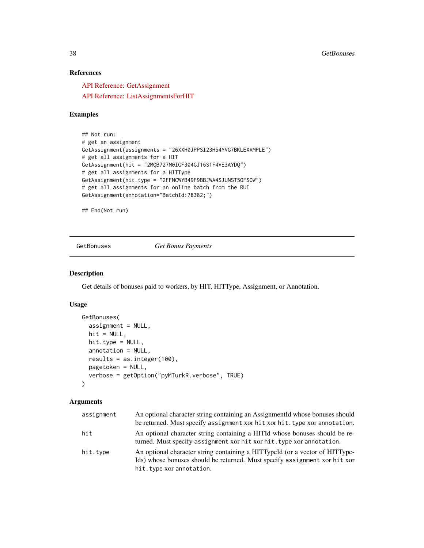# References

[API Reference: GetAssignment](https://docs.aws.amazon.com/AWSMechTurk/latest/AWSMturkAPI/ApiReference_GetAssignmentOperation.html)

[API Reference: ListAssignmentsForHIT](https://docs.aws.amazon.com/AWSMechTurk/latest/AWSMturkAPI/ApiReference_ListAssignmentsForHITOperation.html)

# Examples

```
## Not run:
# get an assignment
GetAssignment(assignments = "26XXH0JPPSI23H54YVG7BKLEXAMPLE")
# get all assignments for a HIT
GetAssignment(hit = "2MQB727M0IGF304GJ16S1F4VE3AYDQ")
# get all assignments for a HITType
GetAssignment(hit.type = "2FFNCWYB49F9BBJWA4SJUNST5OFSOW")
# get all assignments for an online batch from the RUI
GetAssignment(annotation="BatchId:78382;")
```
## End(Not run)

<span id="page-37-0"></span>GetBonuses *Get Bonus Payments*

## Description

Get details of bonuses paid to workers, by HIT, HITType, Assignment, or Annotation.

### Usage

```
GetBonuses(
  assignment = NULL,
  hit = NULL,hit.type = NULL,
  annotation = NULL,
  results = as.integer(100),
 pagetoken = NULL,
  verbose = getOption("pyMTurkR.verbose", TRUE)
)
```

| assignment | An optional character string containing an AssignmentId whose bonuses should<br>be returned. Must specify assignment xor hit xor hit. type xor annotation.                             |
|------------|----------------------------------------------------------------------------------------------------------------------------------------------------------------------------------------|
| hit        | An optional character string containing a HITId whose bonuses should be re-<br>turned. Must specify assignment xor hit xor hit. type xor annotation.                                   |
| hit.type   | An optional character string containing a HITTypeId (or a vector of HITType-<br>Ids) whose bonuses should be returned. Must specify assignment xor hit xor<br>hit.type xor annotation. |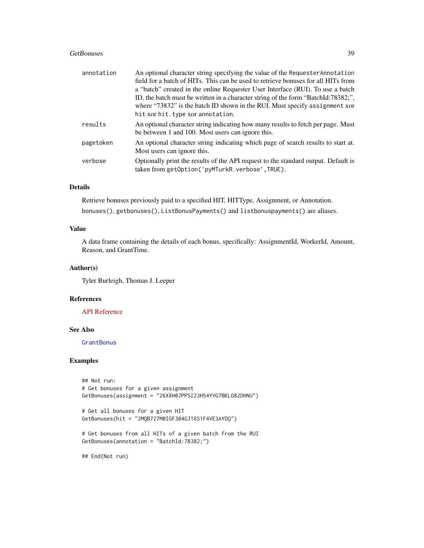#### GetBonuses 39

| annotation | An optional character string specifying the value of the Requester Annotation<br>field for a batch of HITs. This can be used to retrieve bonuses for all HITs from<br>a "batch" created in the online Requester User Interface (RUI). To use a batch<br>ID, the batch must be written in a character string of the form "BatchId:78382;",<br>where "73832" is the batch ID shown in the RUI. Must specify assignment xor<br>hit xor hit. type xor annotation. |
|------------|---------------------------------------------------------------------------------------------------------------------------------------------------------------------------------------------------------------------------------------------------------------------------------------------------------------------------------------------------------------------------------------------------------------------------------------------------------------|
| results    | An optional character string indicating how many results to fetch per page. Must<br>be between 1 and 100. Most users can ignore this.                                                                                                                                                                                                                                                                                                                         |
| pagetoken  | An optional character string indicating which page of search results to start at.<br>Most users can ignore this.                                                                                                                                                                                                                                                                                                                                              |
| verbose    | Optionally print the results of the API request to the standard output. Default is<br>taken from getOption('pyMTurkR.verbose',TRUE).                                                                                                                                                                                                                                                                                                                          |

# Details

Retrieve bonuses previously paid to a specified HIT, HITType, Assignment, or Annotation. bonuses(), getbonuses(), ListBonusPayments() and listbonuspayments() are aliases.

## Value

A data frame containing the details of each bonus, specifically: AssignmentId, WorkerId, Amount, Reason, and GrantTime.

#### Author(s)

Tyler Burleigh, Thomas J. Leeper

## References

[API Reference](https://docs.aws.amazon.com/AWSMechTurk/latest/AWSMturkAPI/ApiReference_ListBonusPaymentsOperation.html)

### See Also

**[GrantBonus](#page-51-0)** 

## Examples

```
## Not run:
# Get bonuses for a given assignment
GetBonuses(assignment = "26XXH0JPPSI23H54YVG7BKLO82DHNU")
# Get all bonuses for a given HIT
GetBonuses(hit = "2MQB727M0IGF304GJ16S1F4VE3AYDQ")
# Get bonuses from all HITs of a given batch from the RUI
GetBonuses(annotation = "BatchId:78382;")
```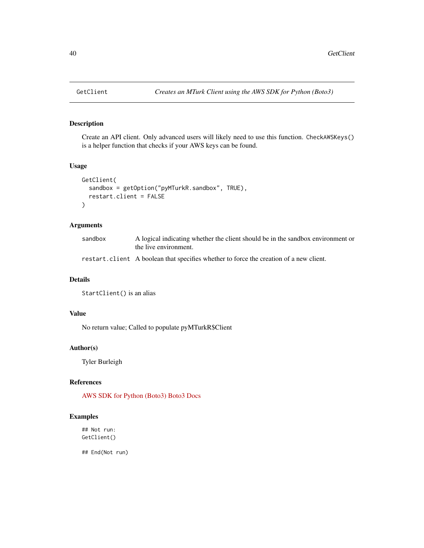### Description

Create an API client. Only advanced users will likely need to use this function. CheckAWSKeys() is a helper function that checks if your AWS keys can be found.

#### Usage

```
GetClient(
  sandbox = getOption("pyMTurkR.sandbox", TRUE),
  restart.client = FALSE
)
```
# Arguments

| sandbox | A logical indicating whether the client should be in the sandbox environment or<br>the live environment. |
|---------|----------------------------------------------------------------------------------------------------------|
|         | restart. client A boolean that specifies whether to force the creation of a new client.                  |

#### Details

```
StartClient() is an alias
```
# Value

No return value; Called to populate pyMTurkR\$Client

# Author(s)

Tyler Burleigh

# References

[AWS SDK for Python \(Boto3\)](https://aws.amazon.com/sdk-for-python/) [Boto3 Docs](https://boto3.amazonaws.com/v1/documentation/api/latest/reference/services/mturk.html)

### Examples

## Not run: GetClient()

## End(Not run)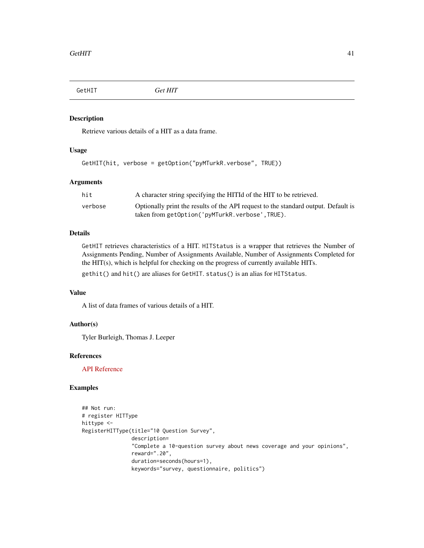<span id="page-40-0"></span>

#### Description

Retrieve various details of a HIT as a data frame.

#### Usage

```
GetHIT(hit, verbose = getOption("pyMTurkR.verbose", TRUE))
```
# Arguments

| hit     | A character string specifying the HITId of the HIT to be retrieved.                |
|---------|------------------------------------------------------------------------------------|
| verbose | Optionally print the results of the API request to the standard output. Default is |
|         | taken from getOption('pvMTurkR.verbose',TRUE).                                     |

## Details

GetHIT retrieves characteristics of a HIT. HITStatus is a wrapper that retrieves the Number of Assignments Pending, Number of Assignments Available, Number of Assignments Completed for the HIT(s), which is helpful for checking on the progress of currently available HITs.

gethit() and hit() are aliases for GetHIT. status() is an alias for HITStatus.

## Value

A list of data frames of various details of a HIT.

# Author(s)

Tyler Burleigh, Thomas J. Leeper

#### References

[API Reference](https://docs.aws.amazon.com/AWSMechTurk/latest/AWSMturkAPI/ApiReference_GetHITOperation.html)

# Examples

```
## Not run:
# register HITType
hittype <-
RegisterHITType(title="10 Question Survey",
                description=
                "Complete a 10-question survey about news coverage and your opinions",
                reward=".20",
                duration=seconds(hours=1),
                keywords="survey, questionnaire, politics")
```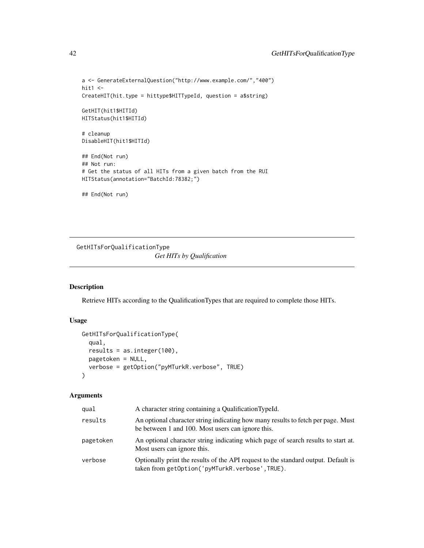```
a <- GenerateExternalQuestion("http://www.example.com/","400")
hit1 <-
CreateHIT(hit.type = hittype$HITTypeId, question = a$string)
GetHIT(hit1$HITId)
HITStatus(hit1$HITId)
# cleanup
DisableHIT(hit1$HITId)
## End(Not run)
## Not run:
# Get the status of all HITs from a given batch from the RUI
HITStatus(annotation="BatchId:78382;")
## End(Not run)
```
GetHITsForQualificationType

*Get HITs by Qualification*

# Description

Retrieve HITs according to the QualificationTypes that are required to complete those HITs.

# Usage

```
GetHITsForQualificationType(
 qual,
 results = as.integer(100),
 pagetoken = NULL,
 verbose = getOption("pyMTurkR.verbose", TRUE)
)
```

| qual      | A character string containing a QualificationTypeId.                                                                                  |
|-----------|---------------------------------------------------------------------------------------------------------------------------------------|
| results   | An optional character string indicating how many results to fetch per page. Must<br>be between 1 and 100. Most users can ignore this. |
| pagetoken | An optional character string indicating which page of search results to start at.<br>Most users can ignore this.                      |
| verbose   | Optionally print the results of the API request to the standard output. Default is<br>taken from getOption('pyMTurkR.verbose', TRUE). |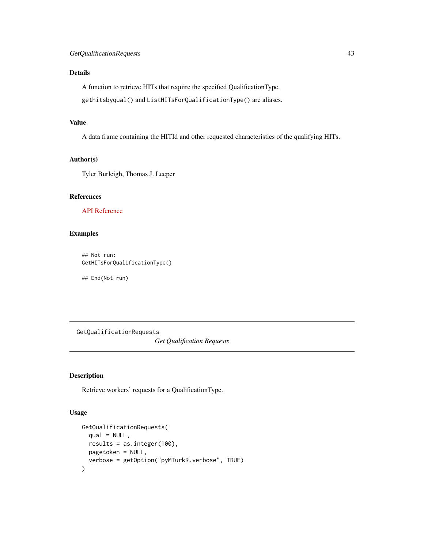A function to retrieve HITs that require the specified QualificationType.

gethitsbyqual() and ListHITsForQualificationType() are aliases.

# Value

A data frame containing the HITId and other requested characteristics of the qualifying HITs.

## Author(s)

Tyler Burleigh, Thomas J. Leeper

# References

[API Reference](https://docs.aws.amazon.com/AWSMechTurk/latest/AWSMturkAPI/ApiReference_ListHITsForQualificationTypeOperation.html)

# Examples

## Not run: GetHITsForQualificationType()

## End(Not run)

<span id="page-42-0"></span>GetQualificationRequests *Get Qualification Requests*

# Description

Retrieve workers' requests for a QualificationType.

#### Usage

```
GetQualificationRequests(
  qual = NULL,results = as.integer(100),
 pagetoken = NULL,
  verbose = getOption("pyMTurkR.verbose", TRUE)
\mathcal{E}
```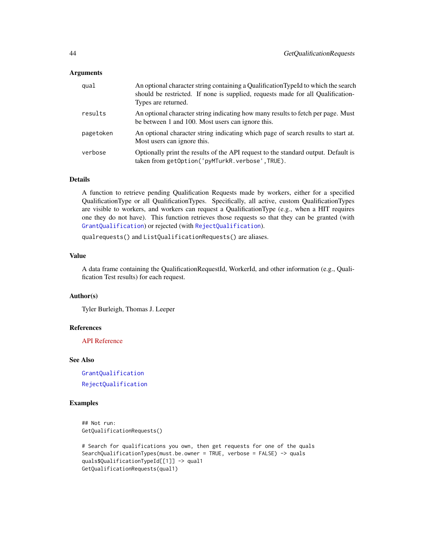#### Arguments

| qual      | An optional character string containing a Qualification TypeId to which the search<br>should be restricted. If none is supplied, requests made for all Qualification-<br>Types are returned. |
|-----------|----------------------------------------------------------------------------------------------------------------------------------------------------------------------------------------------|
| results   | An optional character string indicating how many results to fetch per page. Must<br>be between 1 and 100. Most users can ignore this.                                                        |
| pagetoken | An optional character string indicating which page of search results to start at.<br>Most users can ignore this.                                                                             |
| verbose   | Optionally print the results of the API request to the standard output. Default is<br>taken from getOption('pyMTurkR.verbose',TRUE).                                                         |

## Details

A function to retrieve pending Qualification Requests made by workers, either for a specified QualificationType or all QualificationTypes. Specifically, all active, custom QualificationTypes are visible to workers, and workers can request a QualificationType (e.g., when a HIT requires one they do not have). This function retrieves those requests so that they can be granted (with [GrantQualification](#page-53-0)) or rejected (with [RejectQualification](#page-53-1)).

qualrequests() and ListQualificationRequests() are aliases.

#### Value

A data frame containing the QualificationRequestId, WorkerId, and other information (e.g., Qualification Test results) for each request.

### Author(s)

Tyler Burleigh, Thomas J. Leeper

# References

[API Reference](https://docs.aws.amazon.com/AWSMechTurk/latest/AWSMturkAPI/ApiReference_ListQualificationRequestsOperation.html)

#### See Also

[GrantQualification](#page-53-0)

[RejectQualification](#page-53-1)

#### Examples

```
## Not run:
GetQualificationRequests()
```

```
# Search for qualifications you own, then get requests for one of the quals
SearchQualificationTypes(must.be.owner = TRUE, verbose = FALSE) -> quals
quals$QualificationTypeId[[1]] -> qual1
GetQualificationRequests(qual1)
```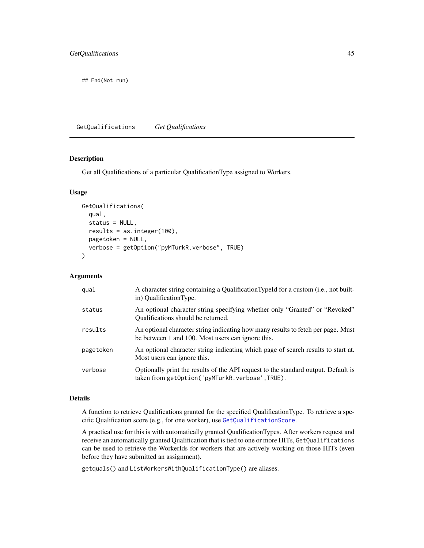## End(Not run)

<span id="page-44-0"></span>GetQualifications *Get Qualifications*

#### Description

Get all Qualifications of a particular QualificationType assigned to Workers.

#### Usage

```
GetQualifications(
  qual,
  status = NULL,
  results = as.integer(100),
 pagetoken = NULL,
  verbose = getOption("pyMTurkR.verbose", TRUE)
\lambda
```
#### Arguments

| qual      | A character string containing a Qualification TypeId for a custom (i.e., not built-<br>in) QualificationType.                         |
|-----------|---------------------------------------------------------------------------------------------------------------------------------------|
| status    | An optional character string specifying whether only "Granted" or "Revoked"<br>Qualifications should be returned.                     |
| results   | An optional character string indicating how many results to fetch per page. Must<br>be between 1 and 100. Most users can ignore this. |
| pagetoken | An optional character string indicating which page of search results to start at.<br>Most users can ignore this.                      |
| verbose   | Optionally print the results of the API request to the standard output. Default is<br>taken from getOption('pyMTurkR.verbose',TRUE).  |

#### Details

A function to retrieve Qualifications granted for the specified QualificationType. To retrieve a specific Qualification score (e.g., for one worker), use [GetQualificationScore](#page-45-0).

A practical use for this is with automatically granted QualificationTypes. After workers request and receive an automatically granted Qualification that is tied to one or more HITs, GetQualifications can be used to retrieve the WorkerIds for workers that are actively working on those HITs (even before they have submitted an assignment).

getquals() and ListWorkersWithQualificationType() are aliases.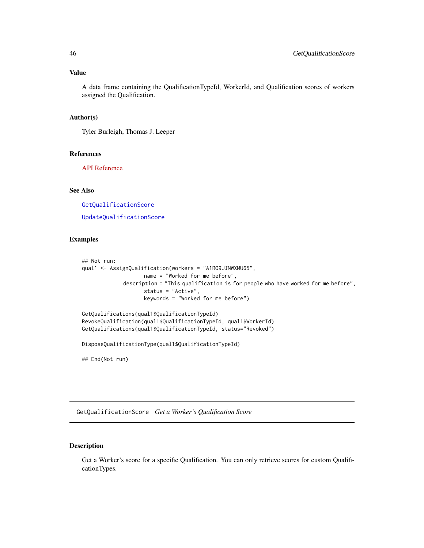#### Value

A data frame containing the QualificationTypeId, WorkerId, and Qualification scores of workers assigned the Qualification.

# Author(s)

Tyler Burleigh, Thomas J. Leeper

### References

[API Reference](https://docs.aws.amazon.com/AWSMechTurk/latest/AWSMturkAPI/ApiReference_ListWorkersWithQualificationTypeOperation.html)

## See Also

[GetQualificationScore](#page-45-0) [UpdateQualificationScore](#page-73-0)

### Examples

```
## Not run:
qual1 <- AssignQualification(workers = "A1RO9UJNWXMU65",
                   name = "Worked for me before",
             description = "This qualification is for people who have worked for me before",
                    status = "Active",
                    keywords = "Worked for me before")
GetQualifications(qual1$QualificationTypeId)
RevokeQualification(qual1$QualificationTypeId, qual1$WorkerId)
GetQualifications(qual1$QualificationTypeId, status="Revoked")
DisposeQualificationType(qual1$QualificationTypeId)
```
## End(Not run)

<span id="page-45-0"></span>GetQualificationScore *Get a Worker's Qualification Score*

## Description

Get a Worker's score for a specific Qualification. You can only retrieve scores for custom QualificationTypes.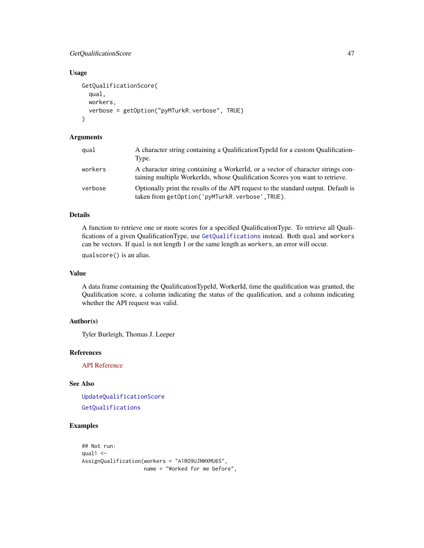## GetQualificationScore 47

## Usage

```
GetQualificationScore(
  qual,
  workers,
  verbose = getOption("pyMTurkR.verbose", TRUE)
\lambda
```
### Arguments

| qual    | A character string containing a Qualification TypeId for a custom Qualification-<br>Type.                                                                       |
|---------|-----------------------------------------------------------------------------------------------------------------------------------------------------------------|
| workers | A character string containing a WorkerId, or a vector of character strings con-<br>taining multiple WorkerIds, whose Qualification Scores you want to retrieve. |
| verbose | Optionally print the results of the API request to the standard output. Default is<br>taken from getOption('pyMTurkR.verbose', TRUE).                           |

## Details

A function to retrieve one or more scores for a specified QualificationType. To retrieve all Qualifications of a given QualificationType, use [GetQualifications](#page-44-0) instead. Both qual and workers can be vectors. If qual is not length 1 or the same length as workers, an error will occur.

qualscore() is an alias.

## Value

A data frame containing the QualificationTypeId, WorkerId, time the qualification was granted, the Qualification score, a column indicating the status of the qualification, and a column indicating whether the API request was valid.

#### Author(s)

Tyler Burleigh, Thomas J. Leeper

#### References

[API Reference](https://docs.aws.amazon.com/AWSMechTurk/latest/AWSMturkAPI/ApiReference_ListWorkersWithQualificationTypeOperation.html)

# See Also

[UpdateQualificationScore](#page-73-0) [GetQualifications](#page-44-0)

# Examples

```
## Not run:
qual1 < -AssignQualification(workers = "A1RO9UJNWXMU65",
                   name = "Worked for me before",
```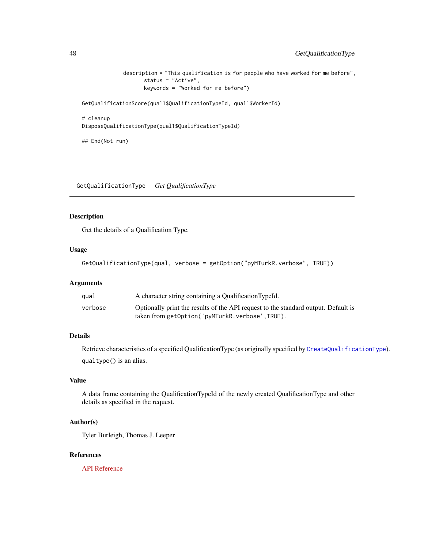```
description = "This qualification is for people who have worked for me before",
      status = "Active",
      keywords = "Worked for me before")
```
GetQualificationScore(qual1\$QualificationTypeId, qual1\$WorkerId)

```
# cleanup
DisposeQualificationType(qual1$QualificationTypeId)
```
## End(Not run)

GetQualificationType *Get QualificationType*

# Description

Get the details of a Qualification Type.

#### Usage

GetQualificationType(qual, verbose = getOption("pyMTurkR.verbose", TRUE))

## Arguments

| qual    | A character string containing a Qualification TypeId.                              |
|---------|------------------------------------------------------------------------------------|
| verbose | Optionally print the results of the API request to the standard output. Default is |
|         | taken from getOption('pyMTurkR.verbose',TRUE).                                     |

# Details

Retrieve characteristics of a specified QualificationType (as originally specified by [CreateQualificationType](#page-16-0)). qualtype() is an alias.

# Value

A data frame containing the QualificationTypeId of the newly created QualificationType and other details as specified in the request.

## Author(s)

Tyler Burleigh, Thomas J. Leeper

#### References

[API Reference](https://docs.aws.amazon.com/AWSMechTurk/latest/AWSMturkAPI/ApiReference_GetQualificationTypeOperation.html)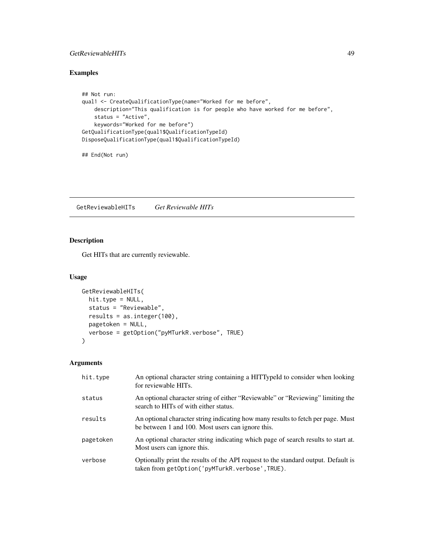# GetReviewableHITs 49

# Examples

```
## Not run:
qual1 <- CreateQualificationType(name="Worked for me before",
   description="This qualification is for people who have worked for me before",
    status = "Active",
    keywords="Worked for me before")
GetQualificationType(qual1$QualificationTypeId)
DisposeQualificationType(qual1$QualificationTypeId)
```

```
## End(Not run)
```
<span id="page-48-0"></span>GetReviewableHITs *Get Reviewable HITs*

# Description

Get HITs that are currently reviewable.

### Usage

```
GetReviewableHITs(
  hit.type = NULL,
  status = "Reviewable",
  results = as.integer(100),
 pagetoken = NULL,
  verbose = getOption("pyMTurkR.verbose", TRUE)
)
```

| hit.type  | An optional character string containing a HITTypeId to consider when looking<br>for reviewable HITs.                                  |
|-----------|---------------------------------------------------------------------------------------------------------------------------------------|
| status    | An optional character string of either "Reviewable" or "Reviewing" limiting the<br>search to HITs of with either status.              |
| results   | An optional character string indicating how many results to fetch per page. Must<br>be between 1 and 100. Most users can ignore this. |
| pagetoken | An optional character string indicating which page of search results to start at.<br>Most users can ignore this.                      |
| verbose   | Optionally print the results of the API request to the standard output. Default is<br>taken from getOption('pyMTurkR.verbose',TRUE).  |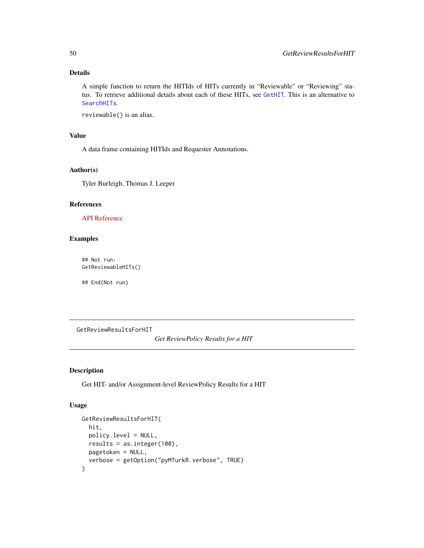A simple function to return the HITIds of HITs currently in "Reviewable" or "Reviewing" status. To retrieve additional details about each of these HITs, see [GetHIT](#page-40-0). This is an alternative to [SearchHITs](#page-59-0).

reviewable() is an alias.

#### Value

A data frame containing HITIds and Requester Annotations.

#### Author(s)

Tyler Burleigh, Thomas J. Leeper

#### References

### [API Reference](https://docs.aws.amazon.com/AWSMechTurk/latest/AWSMturkAPI/ApiReference_GetReviewableHITsOperation.html)

#### Examples

## Not run: GetReviewableHITs()

## End(Not run)

GetReviewResultsForHIT

*Get ReviewPolicy Results for a HIT*

# Description

Get HIT- and/or Assignment-level ReviewPolicy Results for a HIT

#### Usage

```
GetReviewResultsForHIT(
  hit,
 policy.level = NULL,
  results = as.integer(100),
 pagetoken = NULL,
  verbose = getOption("pyMTurkR.verbose", TRUE)
)
```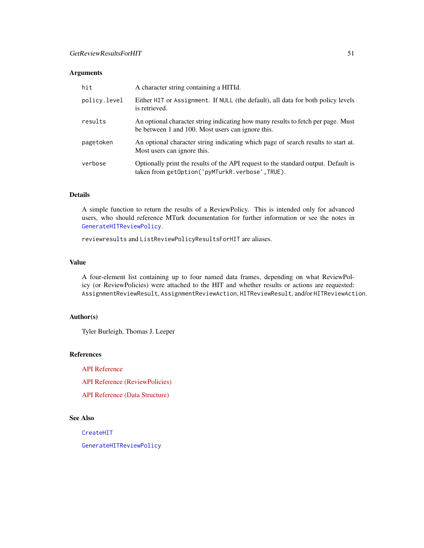## Arguments

| hit          | A character string containing a HITId.                                                                                                |
|--------------|---------------------------------------------------------------------------------------------------------------------------------------|
| policy.level | Either HIT or Assignment. If NULL (the default), all data for both policy levels<br>is retrieved.                                     |
| results      | An optional character string indicating how many results to fetch per page. Must<br>be between 1 and 100. Most users can ignore this. |
| pagetoken    | An optional character string indicating which page of search results to start at.<br>Most users can ignore this.                      |
| verbose      | Optionally print the results of the API request to the standard output. Default is<br>taken from getOption('pyMTurkR.verbose',TRUE).  |

# Details

A simple function to return the results of a ReviewPolicy. This is intended only for advanced users, who should reference MTurk documentation for further information or see the notes in [GenerateHITReviewPolicy](#page-26-0).

reviewresults and ListReviewPolicyResultsForHIT are aliases.

### Value

A four-element list containing up to four named data frames, depending on what ReviewPolicy (or ReviewPolicies) were attached to the HIT and whether results or actions are requested: AssignmentReviewResult, AssignmentReviewAction, HITReviewResult, and/or HITReviewAction.

## Author(s)

Tyler Burleigh, Thomas J. Leeper

### References

[API Reference](https://docs.aws.amazon.com/AWSMechTurk/latest/AWSMturkAPI/ApiReference_ListReviewPolicyResultsForHITOperation.html)

[API Reference \(ReviewPolicies\)](https://docs.aws.amazon.com/AWSMechTurk/latest/AWSMturkAPI/ApiReference_ReviewPoliciesArticle.html)

[API Reference \(Data Structure\)](https://docs.aws.amazon.com/AWSMechTurk/latest/AWSMturkAPI/ApiReference_HITReviewPolicyDataStructureArticle.html)

#### See Also

[CreateHIT](#page-14-0)

[GenerateHITReviewPolicy](#page-26-0)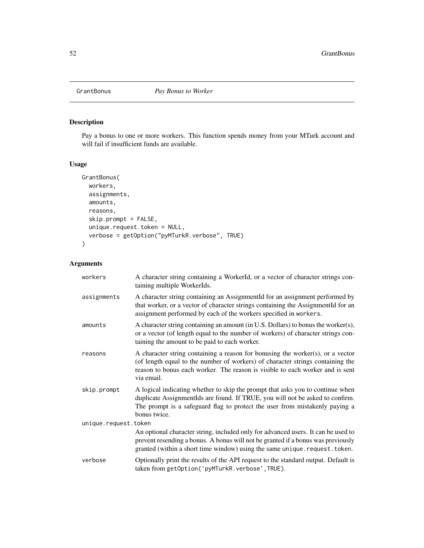<span id="page-51-0"></span>

# Description

Pay a bonus to one or more workers. This function spends money from your MTurk account and will fail if insufficient funds are available.

# Usage

```
GrantBonus(
 workers,
  assignments,
 amounts,
 reasons,
  skip.prompt = FALSE,
 unique.request.token = NULL,
  verbose = getOption("pyMTurkR.verbose", TRUE)
\mathcal{L}
```

| workers              | A character string containing a WorkerId, or a vector of character strings con-<br>taining multiple WorkerIds.                                                                                                                                                      |
|----------------------|---------------------------------------------------------------------------------------------------------------------------------------------------------------------------------------------------------------------------------------------------------------------|
| assignments          | A character string containing an AssignmentId for an assignment performed by<br>that worker, or a vector of character strings containing the AssignmentId for an<br>assignment performed by each of the workers specified in workers.                               |
| amounts              | A character string containing an amount (in U.S. Dollars) to bonus the worker(s),<br>or a vector (of length equal to the number of workers) of character strings con-<br>taining the amount to be paid to each worker.                                              |
| reasons              | A character string containing a reason for bonusing the worker $(s)$ , or a vector<br>(of length equal to the number of workers) of character strings containing the<br>reason to bonus each worker. The reason is visible to each worker and is sent<br>via email. |
| skip.prompt          | A logical indicating whether to skip the prompt that asks you to continue when<br>duplicate AssignmentIds are found. If TRUE, you will not be asked to confirm.<br>The prompt is a safeguard flag to protect the user from mistakenly paying a<br>bonus twice.      |
| unique.request.token |                                                                                                                                                                                                                                                                     |
|                      | An optional character string, included only for advanced users. It can be used to<br>prevent resending a bonus. A bonus will not be granted if a bonus was previously<br>granted (within a short time window) using the same unique.request.token.                  |
| verbose              | Optionally print the results of the API request to the standard output. Default is<br>taken from getOption('pyMTurkR.verbose', TRUE).                                                                                                                               |
|                      |                                                                                                                                                                                                                                                                     |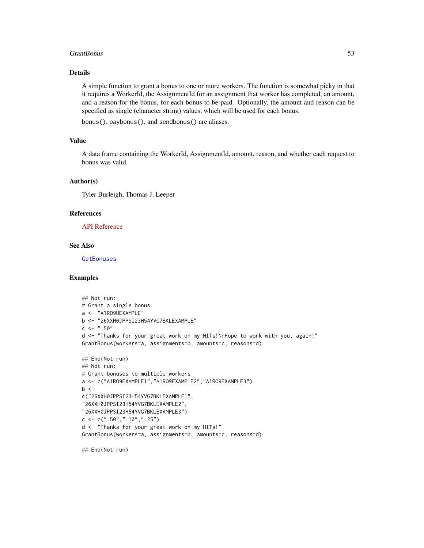#### GrantBonus 53

## Details

A simple function to grant a bonus to one or more workers. The function is somewhat picky in that it requires a WorkerId, the AssignmentId for an assignment that worker has completed, an amount, and a reason for the bonus, for each bonus to be paid. Optionally, the amount and reason can be specified as single (character string) values, which will be used for each bonus.

bonus(), paybonus(), and sendbonus() are aliases.

## Value

A data frame containing the WorkerId, AssignmentId, amount, reason, and whether each request to bonus was valid.

## Author(s)

Tyler Burleigh, Thomas J. Leeper

#### References

[API Reference](https://docs.aws.amazon.com/AWSMechTurk/latest/AWSMturkAPI/ApiReference_SendBonusOperation.html)

#### See Also

**[GetBonuses](#page-37-0)** 

#### Examples

```
## Not run:
# Grant a single bonus
a <- "A1RO9UEXAMPLE"
b <- "26XXH0JPPSI23H54YVG7BKLEXAMPLE"
c <- " . 50"d <- "Thanks for your great work on my HITs!\nHope to work with you, again!"
GrantBonus(workers=a, assignments=b, amounts=c, reasons=d)
## End(Not run)
## Not run:
# Grant bonuses to multiple workers
a <- c("A1RO9EXAMPLE1","A1RO9EXAMPLE2","A1RO9EXAMPLE3")
b \leqc("26XXH0JPPSI23H54YVG7BKLEXAMPLE1",
"26XXH0JPPSI23H54YVG7BKLEXAMPLE2",
"26XXH0JPPSI23H54YVG7BKLEXAMPLE3")
c \leq -c(".50",".10",".25")d <- "Thanks for your great work on my HITs!"
GrantBonus(workers=a, assignments=b, amounts=c, reasons=d)
```
## End(Not run)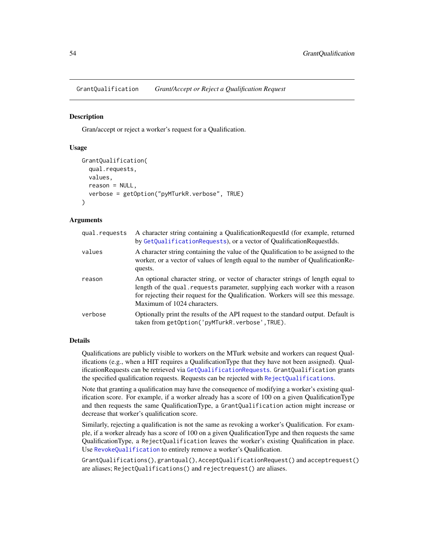<span id="page-53-0"></span>GrantQualification *Grant/Accept or Reject a Qualification Request*

#### <span id="page-53-1"></span>**Description**

Gran/accept or reject a worker's request for a Qualification.

### Usage

```
GrantQualification(
  qual.requests,
  values,
  reason = NULL,
  verbose = getOption("pyMTurkR.verbose", TRUE)
)
```
## **Arguments**

| qual.requests | A character string containing a QualificationRequestId (for example, returned<br>by GetQualificationRequests), or a vector of QualificationRequestIds.                                                                                                                            |
|---------------|-----------------------------------------------------------------------------------------------------------------------------------------------------------------------------------------------------------------------------------------------------------------------------------|
| values        | A character string containing the value of the Qualification to be assigned to the<br>worker, or a vector of values of length equal to the number of Qualification Re-<br>quests.                                                                                                 |
| reason        | An optional character string, or vector of character strings of length equal to<br>length of the qual requests parameter, supplying each worker with a reason<br>for rejecting their request for the Qualification. Workers will see this message.<br>Maximum of 1024 characters. |
| verbose       | Optionally print the results of the API request to the standard output. Default is<br>taken from getOption('pyMTurkR.verbose',TRUE).                                                                                                                                              |

## Details

Qualifications are publicly visible to workers on the MTurk website and workers can request Qualifications (e.g., when a HIT requires a QualificationType that they have not been assigned). QualificationRequests can be retrieved via [GetQualificationRequests](#page-42-0). GrantQualification grants the specified qualification requests. Requests can be rejected with [RejectQualifications](#page-53-1).

Note that granting a qualification may have the consequence of modifying a worker's existing qualification score. For example, if a worker already has a score of 100 on a given QualificationType and then requests the same QualificationType, a GrantQualification action might increase or decrease that worker's qualification score.

Similarly, rejecting a qualification is not the same as revoking a worker's Qualification. For example, if a worker already has a score of 100 on a given QualificationType and then requests the same QualificationType, a RejectQualification leaves the worker's existing Qualification in place. Use [RevokeQualification](#page-57-0) to entirely remove a worker's Qualification.

GrantQualifications(), grantqual(), AcceptQualificationRequest() and acceptrequest() are aliases; RejectQualifications() and rejectrequest() are aliases.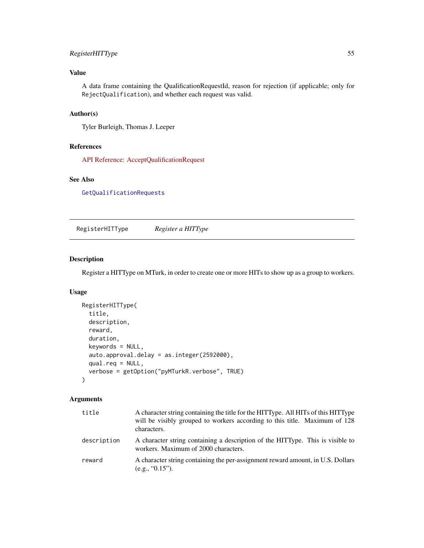# RegisterHITType 55

# Value

A data frame containing the QualificationRequestId, reason for rejection (if applicable; only for RejectQualification), and whether each request was valid.

# Author(s)

Tyler Burleigh, Thomas J. Leeper

## References

[API Reference: AcceptQualificationRequest](https://docs.aws.amazon.com/AWSMechTurk/latest/AWSMturkAPI/ApiReference_AcceptQualificationRequestOperation.html)

# See Also

[GetQualificationRequests](#page-42-0)

RegisterHITType *Register a HITType*

# Description

Register a HITType on MTurk, in order to create one or more HITs to show up as a group to workers.

#### Usage

```
RegisterHITType(
  title,
  description,
  reward,
  duration,
  keywords = NULL,
  auto.approval.delay = as.integer(2592000),
  qual.req = NULL,
  verbose = getOption("pyMTurkR.verbose", TRUE)
)
```

| title       | A character string containing the title for the HITType. All HITs of this HITType<br>will be visibly grouped to workers according to this title. Maximum of 128<br>characters. |
|-------------|--------------------------------------------------------------------------------------------------------------------------------------------------------------------------------|
| description | A character string containing a description of the HITType. This is visible to<br>workers. Maximum of 2000 characters.                                                         |
| reward      | A character string containing the per-assignment reward amount, in U.S. Dollars<br>(e.g., "0.15").                                                                             |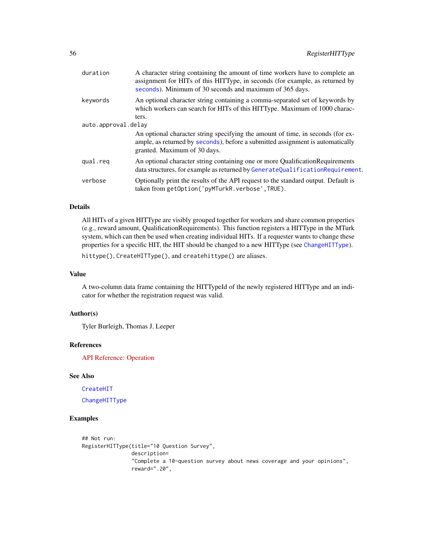| duration            | A character string containing the amount of time workers have to complete an<br>assignment for HITs of this HITType, in seconds (for example, as returned by<br>seconds). Minimum of 30 seconds and maximum of 365 days. |
|---------------------|--------------------------------------------------------------------------------------------------------------------------------------------------------------------------------------------------------------------------|
| keywords            | An optional character string containing a comma-separated set of keywords by<br>which workers can search for HITs of this HITType. Maximum of 1000 charac-                                                               |
|                     | ters.                                                                                                                                                                                                                    |
| auto.approval.delay |                                                                                                                                                                                                                          |
|                     | An optional character string specifying the amount of time, in seconds (for ex-<br>ample, as returned by seconds), before a submitted assignment is automatically<br>granted. Maximum of 30 days.                        |
| qual.reg            | An optional character string containing one or more Qualification Requirements<br>data structures, for example as returned by GenerateQualificationRequirement.                                                          |
| verbose             | Optionally print the results of the API request to the standard output. Default is<br>taken from getOption('pyMTurkR.verbose',TRUE).                                                                                     |

All HITs of a given HITType are visibly grouped together for workers and share common properties (e.g., reward amount, QualificationRequirements). This function registers a HITType in the MTurk system, which can then be used when creating individual HITs. If a requester wants to change these properties for a specific HIT, the HIT should be changed to a new HITType (see [ChangeHITType](#page-9-0)).

hittype(), CreateHITType(), and createhittype() are aliases.

## Value

A two-column data frame containing the HITTypeId of the newly registered HITType and an indicator for whether the registration request was valid.

#### Author(s)

Tyler Burleigh, Thomas J. Leeper

#### References

[API Reference: Operation](https://docs.aws.amazon.com/AWSMechTurk/latest/AWSMturkAPI/ApiReference_UpdateHITTypeOfHITOperation.html)

## See Also

[CreateHIT](#page-14-0) [ChangeHITType](#page-9-0)

#### Examples

```
## Not run:
RegisterHITType(title="10 Question Survey",
                description=
                "Complete a 10-question survey about news coverage and your opinions",
                reward=".20",
```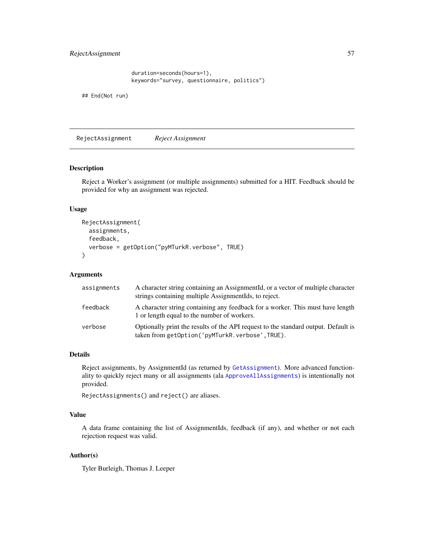```
duration=seconds(hours=1),
keywords="survey, questionnaire, politics")
```
## End(Not run)

RejectAssignment *Reject Assignment*

#### Description

Reject a Worker's assignment (or multiple assignments) submitted for a HIT. Feedback should be provided for why an assignment was rejected.

### Usage

```
RejectAssignment(
  assignments,
  feedback,
  verbose = getOption("pyMTurkR.verbose", TRUE)
)
```
# Arguments

| assignments | A character string containing an AssignmentId, or a vector of multiple character<br>strings containing multiple AssignmentIds, to reject. |
|-------------|-------------------------------------------------------------------------------------------------------------------------------------------|
| feedback    | A character string containing any feedback for a worker. This must have length<br>1 or length equal to the number of workers.             |
| verbose     | Optionally print the results of the API request to the standard output. Default is<br>taken from getOption('pyMTurkR.verbose',TRUE).      |

### Details

Reject assignments, by AssignmentId (as returned by [GetAssignment](#page-35-0)). More advanced functionality to quickly reject many or all assignments (ala [ApproveAllAssignments](#page-4-0)) is intentionally not provided.

RejectAssignments() and reject() are aliases.

### Value

A data frame containing the list of AssignmentIds, feedback (if any), and whether or not each rejection request was valid.

# Author(s)

Tyler Burleigh, Thomas J. Leeper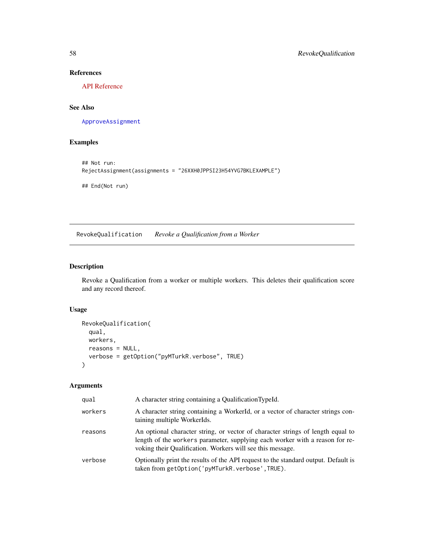# References

[API Reference](https://docs.aws.amazon.com/AWSMechTurk/latest/AWSMturkAPI/ApiReference_RejectAssignmentOperation.html)

# See Also

[ApproveAssignment](#page-4-1)

# Examples

```
## Not run:
RejectAssignment(assignments = "26XXH0JPPSI23H54YVG7BKLEXAMPLE")
## End(Not run)
```
<span id="page-57-0"></span>RevokeQualification *Revoke a Qualification from a Worker*

# Description

Revoke a Qualification from a worker or multiple workers. This deletes their qualification score and any record thereof.

## Usage

```
RevokeQualification(
  qual,
  workers,
  reasons = NULL,
  verbose = getOption("pyMTurkR.verbose", TRUE)
\mathcal{E}
```

| qual    | A character string containing a QualificationTypeId.                                                                                                                                                                          |
|---------|-------------------------------------------------------------------------------------------------------------------------------------------------------------------------------------------------------------------------------|
| workers | A character string containing a WorkerId, or a vector of character strings con-<br>taining multiple WorkerIds.                                                                                                                |
| reasons | An optional character string, or vector of character strings of length equal to<br>length of the workers parameter, supplying each worker with a reason for re-<br>voking their Qualification. Workers will see this message. |
| verbose | Optionally print the results of the API request to the standard output. Default is<br>taken from getOption('pyMTurkR.verbose',TRUE).                                                                                          |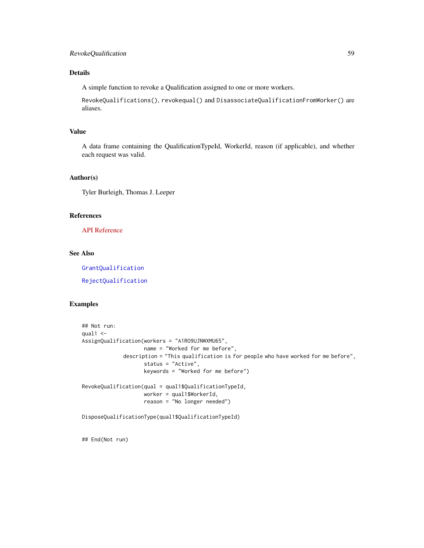A simple function to revoke a Qualification assigned to one or more workers.

RevokeQualifications(), revokequal() and DisassociateQualificationFromWorker() are aliases.

#### Value

A data frame containing the QualificationTypeId, WorkerId, reason (if applicable), and whether each request was valid.

#### Author(s)

Tyler Burleigh, Thomas J. Leeper

#### References

[API Reference](https://docs.aws.amazon.com/AWSMechTurk/latest/AWSMturkAPI/ApiReference_DisassociateQualificationFromWorkerOperation.html)

## See Also

[GrantQualification](#page-53-0)

[RejectQualification](#page-53-1)

### Examples

```
## Not run:
qual1 < -AssignQualification(workers = "A1RO9UJNWXMU65",
                   name = "Worked for me before",
             description = "This qualification is for people who have worked for me before",
                    status = "Active",
                    keywords = "Worked for me before")
RevokeQualification(qual = qual1$QualificationTypeId,
                    worker = qual1$WorkerId,
                    reason = "No longer needed")
```
DisposeQualificationType(qual1\$QualificationTypeId)

## End(Not run)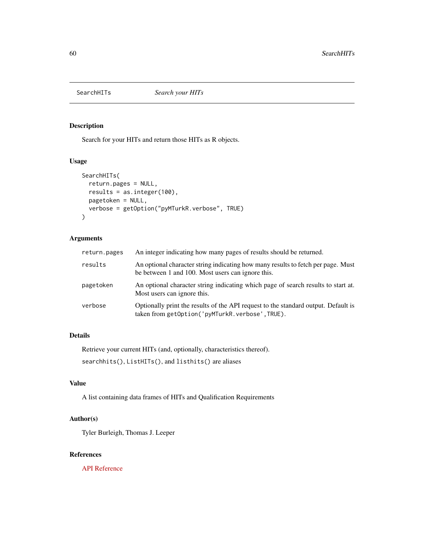<span id="page-59-0"></span>

## Description

Search for your HITs and return those HITs as R objects.

### Usage

```
SearchHITs(
  return.pages = NULL,
 results = as.integer(100),
 pagetoken = NULL,
 verbose = getOption("pyMTurkR.verbose", TRUE)
\mathcal{E}
```
# Arguments

| return.pages | An integer indicating how many pages of results should be returned.                                                                   |
|--------------|---------------------------------------------------------------------------------------------------------------------------------------|
| results      | An optional character string indicating how many results to fetch per page. Must<br>be between 1 and 100. Most users can ignore this. |
| pagetoken    | An optional character string indicating which page of search results to start at.<br>Most users can ignore this.                      |
| verbose      | Optionally print the results of the API request to the standard output. Default is<br>taken from getOption('pyMTurkR.verbose',TRUE).  |

# Details

Retrieve your current HITs (and, optionally, characteristics thereof).

searchhits(), ListHITs(), and listhits() are aliases

# Value

A list containing data frames of HITs and Qualification Requirements

# Author(s)

Tyler Burleigh, Thomas J. Leeper

#### References

[API Reference](https://docs.aws.amazon.com/AWSMechTurk/latest/AWSMturkAPI/ApiReference_ListHITsOperation.html)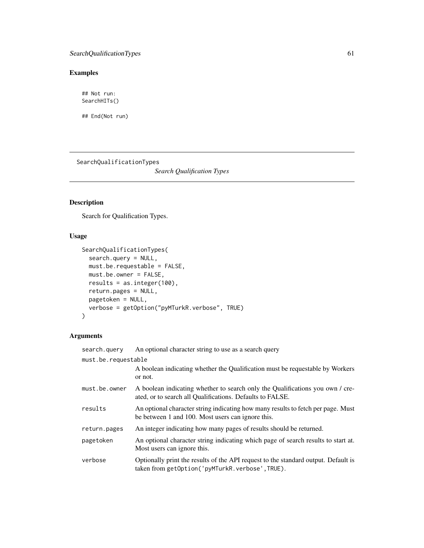# Examples

## Not run: SearchHITs()

## End(Not run)

SearchQualificationTypes

*Search Qualification Types*

# Description

Search for Qualification Types.

# Usage

```
SearchQualificationTypes(
  search.query = NULL,
 must.be.requestable = FALSE,
 must.be.owner = FALSE,
 results = as.integer(100),
 return.pages = NULL,
 pagetoken = NULL,
  verbose = getOption("pyMTurkR.verbose", TRUE)
\mathcal{L}
```

| search.query        | An optional character string to use as a search query                                                                                      |
|---------------------|--------------------------------------------------------------------------------------------------------------------------------------------|
| must.be.requestable |                                                                                                                                            |
|                     | A boolean indicating whether the Qualification must be requestable by Workers<br>or not.                                                   |
| must.be.owner       | A boolean indicating whether to search only the Qualifications you own / cre-<br>ated, or to search all Qualifications. Defaults to FALSE. |
| results             | An optional character string indicating how many results to fetch per page. Must<br>be between 1 and 100. Most users can ignore this.      |
| return.pages        | An integer indicating how many pages of results should be returned.                                                                        |
| pagetoken           | An optional character string indicating which page of search results to start at.<br>Most users can ignore this.                           |
| verbose             | Optionally print the results of the API request to the standard output. Default is<br>taken from getOption('pyMTurkR.verbose',TRUE).       |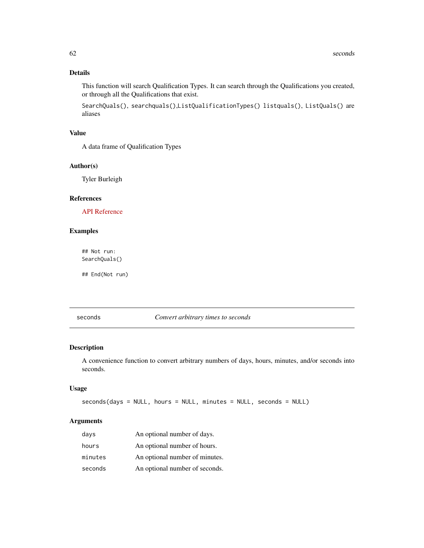This function will search Qualification Types. It can search through the Qualifications you created, or through all the Qualifications that exist.

SearchQuals(), searchquals(),ListQualificationTypes() listquals(), ListQuals() are aliases

# Value

A data frame of Qualification Types

#### Author(s)

Tyler Burleigh

# References

[API Reference](https://docs.aws.amazon.com/AWSMechTurk/latest/AWSMturkAPI/ApiReference_ListQualificationTypesOperation.html)

#### Examples

## Not run: SearchQuals()

## End(Not run)

<span id="page-61-0"></span>seconds *Convert arbitrary times to seconds*

### Description

A convenience function to convert arbitrary numbers of days, hours, minutes, and/or seconds into seconds.

#### Usage

seconds(days = NULL, hours = NULL, minutes = NULL, seconds = NULL)

| days    | An optional number of days.    |
|---------|--------------------------------|
| hours   | An optional number of hours.   |
| minutes | An optional number of minutes. |
| seconds | An optional number of seconds. |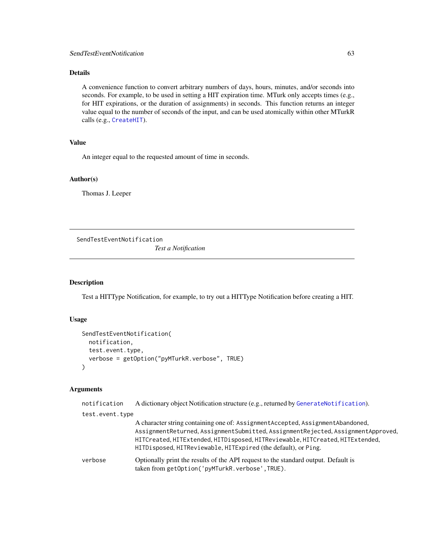A convenience function to convert arbitrary numbers of days, hours, minutes, and/or seconds into seconds. For example, to be used in setting a HIT expiration time. MTurk only accepts times (e.g., for HIT expirations, or the duration of assignments) in seconds. This function returns an integer value equal to the number of seconds of the input, and can be used atomically within other MTurkR calls (e.g., [CreateHIT](#page-14-0)).

#### Value

An integer equal to the requested amount of time in seconds.

# Author(s)

Thomas J. Leeper

<span id="page-62-0"></span>SendTestEventNotification

*Test a Notification*

## Description

Test a HITType Notification, for example, to try out a HITType Notification before creating a HIT.

# Usage

```
SendTestEventNotification(
  notification,
  test.event.type,
  verbose = getOption("pyMTurkR.verbose", TRUE)
\lambda
```

| notification    | A dictionary object Notification structure (e.g., returned by GenerateNotification).                                                                                                                                                                                                                                    |
|-----------------|-------------------------------------------------------------------------------------------------------------------------------------------------------------------------------------------------------------------------------------------------------------------------------------------------------------------------|
| test.event.type |                                                                                                                                                                                                                                                                                                                         |
|                 | A character string containing one of: Assignment Accepted, Assignment Abandoned,<br>AssignmentReturned, AssignmentSubmitted, AssignmentRejected, AssignmentApproved,<br>HITCreated, HITExtended, HITDisposed, HITReviewable, HITCreated, HITExtended,<br>HITDisposed, HITReviewable, HITExpired (the default), or Ping. |
| verbose         | Optionally print the results of the API request to the standard output. Default is<br>taken from getOption('pyMTurkR.verbose',TRUE).                                                                                                                                                                                    |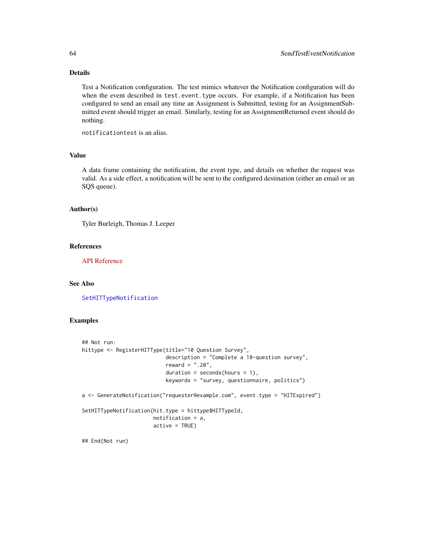Test a Notification configuration. The test mimics whatever the Notification configuration will do when the event described in test.event.type occurs. For example, if a Notification has been configured to send an email any time an Assignment is Submitted, testing for an AssignmentSubmitted event should trigger an email. Similarly, testing for an AssignmentReturned event should do nothing.

notificationtest is an alias.

#### Value

A data frame containing the notification, the event type, and details on whether the request was valid. As a side effect, a notification will be sent to the configured destination (either an email or an SQS queue).

#### Author(s)

Tyler Burleigh, Thomas J. Leeper

#### References

[API Reference](https://docs.aws.amazon.com/AWSMechTurk/latest/AWSMturkAPI/ApiReference_SendTestEventNotificationOperation.html)

## See Also

[SetHITTypeNotification](#page-65-0)

# Examples

```
## Not run:
hittype <- RegisterHITType(title="10 Question Survey",
                           description = "Complete a 10-question survey",
                           reward = ".20",duration = seconds(hours = 1),
                           keywords = "survey, questionnaire, politics")
a <- GenerateNotification("requester@example.com", event.type = "HITExpired")
SetHITTypeNotification(hit.type = hittype$HITTypeId,
                       notification = a,
                       active = TRUE)
```
## End(Not run)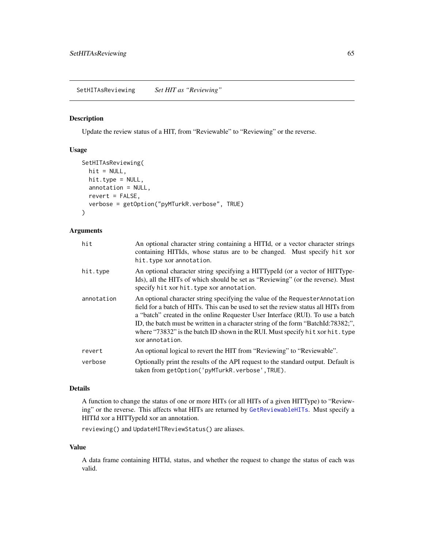## Description

Update the review status of a HIT, from "Reviewable" to "Reviewing" or the reverse.

#### Usage

```
SetHITAsReviewing(
  hit = NULL,hit.type = NULL,
  annotation = NULL,
  revert = FALSE,
  verbose = getOption("pyMTurkR.verbose", TRUE)
)
```
#### Arguments

| hit        | An optional character string containing a HITId, or a vector character strings<br>containing HITIds, whose status are to be changed. Must specify hit xor<br>hit.type xor annotation.                                                                                                                                                                                                                                                           |
|------------|-------------------------------------------------------------------------------------------------------------------------------------------------------------------------------------------------------------------------------------------------------------------------------------------------------------------------------------------------------------------------------------------------------------------------------------------------|
| hit.type   | An optional character string specifying a HITTypeId (or a vector of HITType-<br>Ids), all the HITs of which should be set as "Reviewing" (or the reverse). Must<br>specify hit xor hit. type xor annotation.                                                                                                                                                                                                                                    |
| annotation | An optional character string specifying the value of the Requester Annotation<br>field for a batch of HITs. This can be used to set the review status all HITs from<br>a "batch" created in the online Requester User Interface (RUI). To use a batch<br>ID, the batch must be written in a character string of the form "BatchId:78382;",<br>where "73832" is the batch ID shown in the RUI. Must specify hit xor hit. type<br>xor annotation. |
| revert     | An optional logical to revert the HIT from "Reviewing" to "Reviewable".                                                                                                                                                                                                                                                                                                                                                                         |
| verbose    | Optionally print the results of the API request to the standard output. Default is<br>taken from getOption('pyMTurkR.verbose', TRUE).                                                                                                                                                                                                                                                                                                           |

# Details

A function to change the status of one or more HITs (or all HITs of a given HITType) to "Reviewing" or the reverse. This affects what HITs are returned by [GetReviewableHITs](#page-48-0). Must specify a HITId xor a HITTypeId xor an annotation.

reviewing() and UpdateHITReviewStatus() are aliases.

#### Value

A data frame containing HITId, status, and whether the request to change the status of each was valid.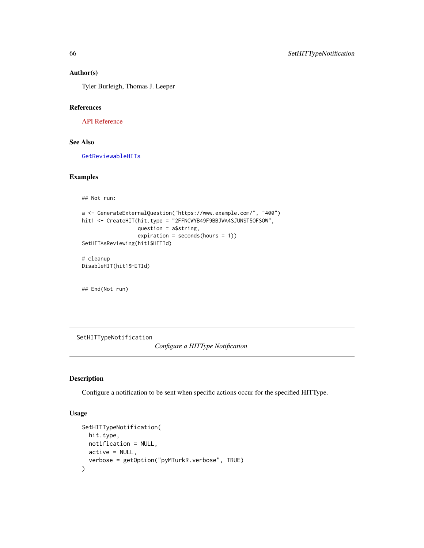## Author(s)

Tyler Burleigh, Thomas J. Leeper

# References

[API Reference](https://docs.aws.amazon.com/AWSMechTurk/latest/AWSMturkAPI/ApiReference_UpdateHITReviewStatusOperation.html)

# See Also

[GetReviewableHITs](#page-48-0)

#### Examples

```
## Not run:
a <- GenerateExternalQuestion("https://www.example.com/", "400")
hit1 <- CreateHIT(hit.type = "2FFNCWYB49F9BBJWA4SJUNST5OFSOW",
                  question = a$string,
                  expiration = seconds(hours = 1))
SetHITAsReviewing(hit1$HITId)
# cleanup
DisableHIT(hit1$HITId)
```
## End(Not run)

<span id="page-65-0"></span>SetHITTypeNotification

*Configure a HITType Notification*

## Description

Configure a notification to be sent when specific actions occur for the specified HITType.

# Usage

```
SetHITTypeNotification(
  hit.type,
  notification = NULL,
  active = NULL,
  verbose = getOption("pyMTurkR.verbose", TRUE)
\mathcal{E}
```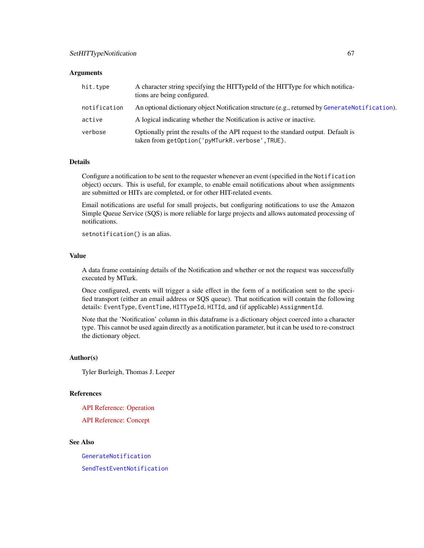#### **Arguments**

| hit.type     | A character string specifying the HITTypeId of the HITType for which notifica-<br>tions are being configured.                        |
|--------------|--------------------------------------------------------------------------------------------------------------------------------------|
| notification | An optional dictionary object Notification structure (e.g., returned by GenerateNotification).                                       |
| active       | A logical indicating whether the Notification is active or inactive.                                                                 |
| verbose      | Optionally print the results of the API request to the standard output. Default is<br>taken from getOption('pyMTurkR.verbose',TRUE). |

#### Details

Configure a notification to be sent to the requester whenever an event (specified in the Notification object) occurs. This is useful, for example, to enable email notifications about when assignments are submitted or HITs are completed, or for other HIT-related events.

Email notifications are useful for small projects, but configuring notifications to use the Amazon Simple Queue Service (SQS) is more reliable for large projects and allows automated processing of notifications.

setnotification() is an alias.

#### Value

A data frame containing details of the Notification and whether or not the request was successfully executed by MTurk.

Once configured, events will trigger a side effect in the form of a notification sent to the specified transport (either an email address or SQS queue). That notification will contain the following details: EventType, EventTime, HITTypeId, HITId, and (if applicable) AssignmentId.

Note that the 'Notification' column in this dataframe is a dictionary object coerced into a character type. This cannot be used again directly as a notification parameter, but it can be used to re-construct the dictionary object.

#### Author(s)

Tyler Burleigh, Thomas J. Leeper

## References

[API Reference: Operation](https://docs.aws.amazon.com/AWSMechTurk/latest/AWSMturkAPI/ApiReference_UpdateNotificationSettingsOperation.html)

[API Reference: Concept](https://docs.aws.amazon.com/AWSMechTurk/latest/AWSMechanicalTurkRequester/Concepts_NotificationsArticle.html)

# See Also

[GenerateNotification](#page-32-0) [SendTestEventNotification](#page-62-0)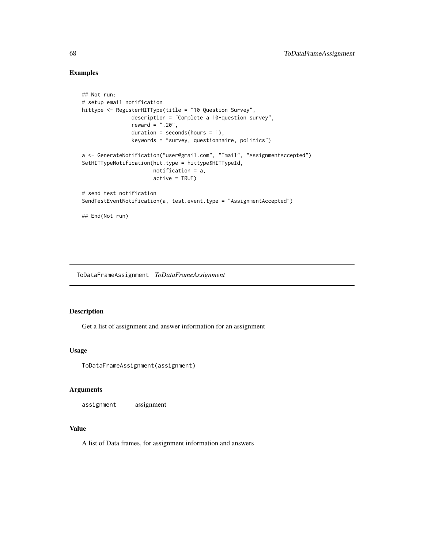# Examples

```
## Not run:
# setup email notification
hittype <- RegisterHITType(title = "10 Question Survey",
                description = "Complete a 10-question survey",
                reward = ".20",duration = seconds(hours = 1),
                keywords = "survey, questionnaire, politics")
a <- GenerateNotification("user@gmail.com", "Email", "AssignmentAccepted")
SetHITTypeNotification(hit.type = hittype$HITTypeId,
                       notification = a,
                       active = TRUE)
# send test notification
SendTestEventNotification(a, test.event.type = "AssignmentAccepted")
## End(Not run)
```
ToDataFrameAssignment *ToDataFrameAssignment*

### Description

Get a list of assignment and answer information for an assignment

#### Usage

ToDataFrameAssignment(assignment)

### Arguments

assignment assignment

## Value

A list of Data frames, for assignment information and answers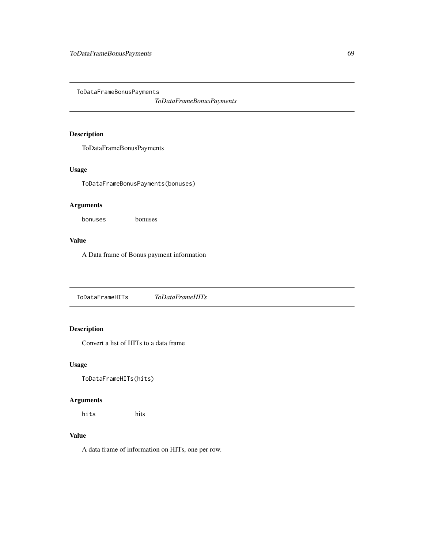ToDataFrameBonusPayments

*ToDataFrameBonusPayments*

# Description

ToDataFrameBonusPayments

# Usage

ToDataFrameBonusPayments(bonuses)

# Arguments

bonuses bonuses

# Value

A Data frame of Bonus payment information

ToDataFrameHITs *ToDataFrameHITs*

# Description

Convert a list of HITs to a data frame

# Usage

ToDataFrameHITs(hits)

# Arguments

hits hits

# Value

A data frame of information on HITs, one per row.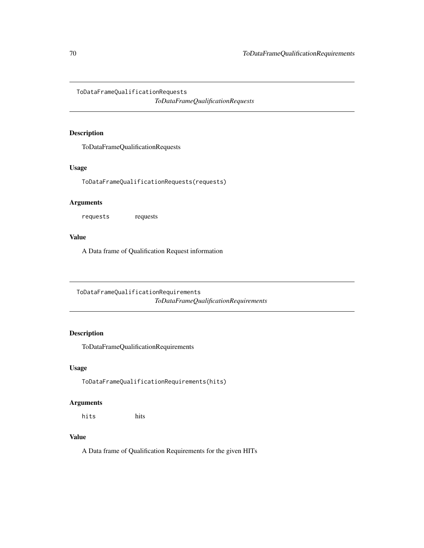ToDataFrameQualificationRequests

*ToDataFrameQualificationRequests*

# Description

ToDataFrameQualificationRequests

# Usage

ToDataFrameQualificationRequests(requests)

# Arguments

requests requests

## Value

A Data frame of Qualification Request information

ToDataFrameQualificationRequirements *ToDataFrameQualificationRequirements*

# Description

ToDataFrameQualificationRequirements

# Usage

ToDataFrameQualificationRequirements(hits)

## Arguments

hits hits

## Value

A Data frame of Qualification Requirements for the given HITs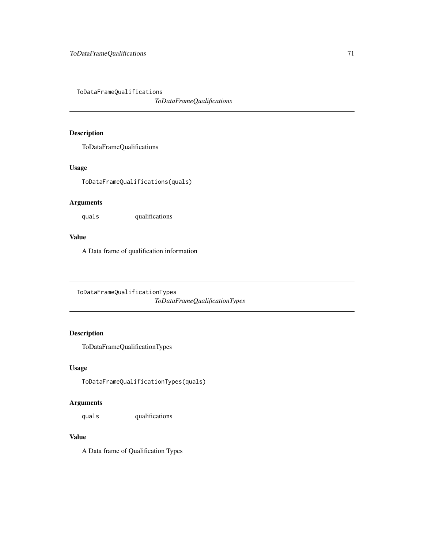ToDataFrameQualifications

*ToDataFrameQualifications*

# Description

ToDataFrameQualifications

# Usage

ToDataFrameQualifications(quals)

# Arguments

quals qualifications

## Value

A Data frame of qualification information

ToDataFrameQualificationTypes *ToDataFrameQualificationTypes*

# Description

ToDataFrameQualificationTypes

# Usage

ToDataFrameQualificationTypes(quals)

# Arguments

quals qualifications

## Value

A Data frame of Qualification Types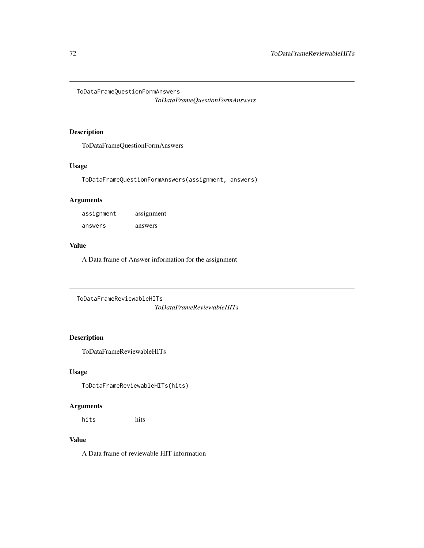ToDataFrameQuestionFormAnswers

*ToDataFrameQuestionFormAnswers*

# Description

ToDataFrameQuestionFormAnswers

## Usage

ToDataFrameQuestionFormAnswers(assignment, answers)

# Arguments

| assignment | assignment |
|------------|------------|
| answers    | answers    |

## Value

A Data frame of Answer information for the assignment

ToDataFrameReviewableHITs *ToDataFrameReviewableHITs*

# Description

ToDataFrameReviewableHITs

### Usage

ToDataFrameReviewableHITs(hits)

# Arguments

hits hits

### Value

A Data frame of reviewable HIT information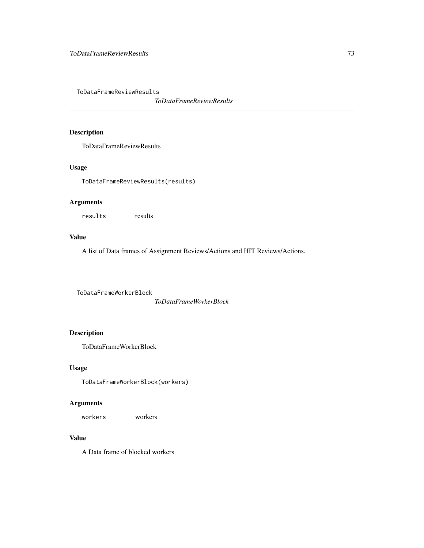<span id="page-72-0"></span>ToDataFrameReviewResults

*ToDataFrameReviewResults*

# Description

ToDataFrameReviewResults

# Usage

ToDataFrameReviewResults(results)

# Arguments

results results

# Value

A list of Data frames of Assignment Reviews/Actions and HIT Reviews/Actions.

ToDataFrameWorkerBlock

*ToDataFrameWorkerBlock*

# Description

ToDataFrameWorkerBlock

# Usage

ToDataFrameWorkerBlock(workers)

#### Arguments

workers workers

# Value

A Data frame of blocked workers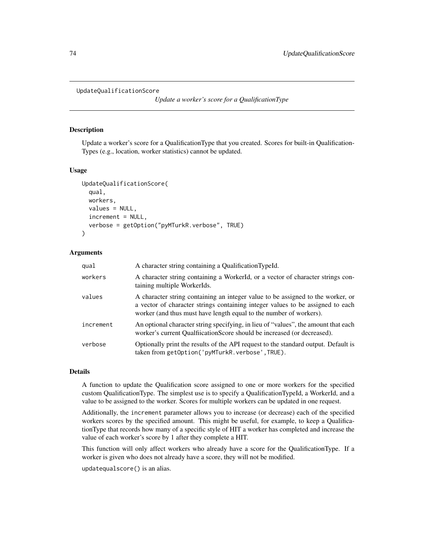<span id="page-73-0"></span>UpdateQualificationScore

*Update a worker's score for a QualificationType*

#### Description

Update a worker's score for a QualificationType that you created. Scores for built-in Qualification-Types (e.g., location, worker statistics) cannot be updated.

# Usage

```
UpdateQualificationScore(
  qual,
  workers,
  values = NULL,
  increment = NULL,
  verbose = getOption("pyMTurkR.verbose", TRUE)
)
```
#### Arguments

| qual      | A character string containing a QualificationTypeId.                                                                                                                                                                                    |
|-----------|-----------------------------------------------------------------------------------------------------------------------------------------------------------------------------------------------------------------------------------------|
| workers   | A character string containing a WorkerId, or a vector of character strings con-<br>taining multiple WorkerIds.                                                                                                                          |
| values    | A character string containing an integer value to be assigned to the worker, or<br>a vector of character strings containing integer values to be assigned to each<br>worker (and thus must have length equal to the number of workers). |
| increment | An optional character string specifying, in lieu of "values", the amount that each<br>worker's current Qualfiication Score should be increased (or decreased).                                                                          |
| verbose   | Optionally print the results of the API request to the standard output. Default is<br>taken from getOption('pyMTurkR.verbose',TRUE).                                                                                                    |

#### Details

A function to update the Qualification score assigned to one or more workers for the specified custom QualificationType. The simplest use is to specify a QualificationTypeId, a WorkerId, and a value to be assigned to the worker. Scores for multiple workers can be updated in one request.

Additionally, the increment parameter allows you to increase (or decrease) each of the specified workers scores by the specified amount. This might be useful, for example, to keep a QualificationType that records how many of a specific style of HIT a worker has completed and increase the value of each worker's score by 1 after they complete a HIT.

This function will only affect workers who already have a score for the QualificationType. If a worker is given who does not already have a score, they will not be modified.

updatequalscore() is an alias.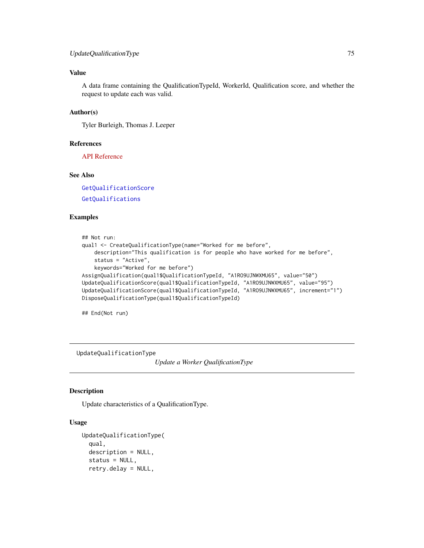#### <span id="page-74-0"></span>Value

A data frame containing the QualificationTypeId, WorkerId, Qualification score, and whether the request to update each was valid.

#### Author(s)

Tyler Burleigh, Thomas J. Leeper

#### References

[API Reference](https://docs.aws.amazon.com/AWSMechTurk/latest/AWSMturkAPI/ApiReference_UpdateQualificationScoreOperation.html)

# See Also

[GetQualificationScore](#page-45-0)

[GetQualifications](#page-44-0)

#### Examples

```
## Not run:
qual1 <- CreateQualificationType(name="Worked for me before",
   description="This qualification is for people who have worked for me before",
   status = "Active",
   keywords="Worked for me before")
AssignQualification(qual1$QualificationTypeId, "A1RO9UJNWXMU65", value="50")
UpdateQualificationScore(qual1$QualificationTypeId, "A1RO9UJNWXMU65", value="95")
UpdateQualificationScore(qual1$QualificationTypeId, "A1RO9UJNWXMU65", increment="1")
DisposeQualificationType(qual1$QualificationTypeId)
```
## End(Not run)

UpdateQualificationType

*Update a Worker QualificationType*

#### Description

Update characteristics of a QualificationType.

# Usage

```
UpdateQualificationType(
  qual,
  description = NULL,
  status = NULL,retry.delay = NULL,
```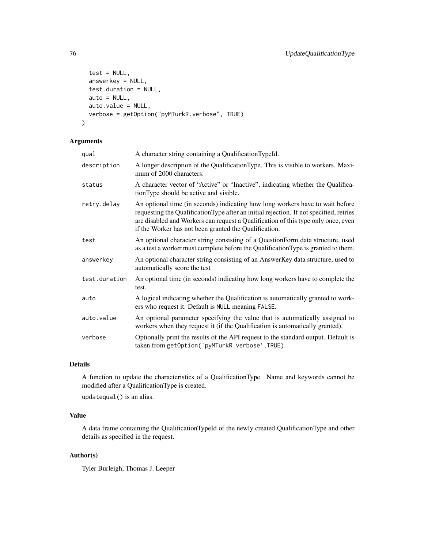```
test = NULL,answerkey = NULL,
 test.duration = NULL,
 auto = NULL,auto.value = NULL,
 verbose = getOption("pyMTurkR.verbose", TRUE)
)
```
# Arguments

| qual          | A character string containing a QualificationTypeId.                                                                                                                                                                                                                                                                  |
|---------------|-----------------------------------------------------------------------------------------------------------------------------------------------------------------------------------------------------------------------------------------------------------------------------------------------------------------------|
| description   | A longer description of the QualificationType. This is visible to workers. Maxi-<br>mum of 2000 characters.                                                                                                                                                                                                           |
| status        | A character vector of "Active" or "Inactive", indicating whether the Qualifica-<br>tionType should be active and visible.                                                                                                                                                                                             |
| retry.delay   | An optional time (in seconds) indicating how long workers have to wait before<br>requesting the QualificationType after an initial rejection. If not specified, retries<br>are disabled and Workers can request a Qualification of this type only once, even<br>if the Worker has not been granted the Qualification. |
| test          | An optional character string consisting of a QuestionForm data structure, used<br>as a test a worker must complete before the Qualification Type is granted to them.                                                                                                                                                  |
| answerkey     | An optional character string consisting of an AnswerKey data structure, used to<br>automatically score the test                                                                                                                                                                                                       |
| test.duration | An optional time (in seconds) indicating how long workers have to complete the<br>test.                                                                                                                                                                                                                               |
| auto          | A logical indicating whether the Qualification is automatically granted to work-<br>ers who request it. Default is NULL meaning FALSE.                                                                                                                                                                                |
| auto.value    | An optional parameter specifying the value that is automatically assigned to<br>workers when they request it (if the Qualification is automatically granted).                                                                                                                                                         |
| verbose       | Optionally print the results of the API request to the standard output. Default is<br>taken from getOption('pyMTurkR.verbose', TRUE).                                                                                                                                                                                 |

#### Details

A function to update the characteristics of a QualificationType. Name and keywords cannot be modified after a QualificationType is created.

updatequal() is an alias.

# Value

A data frame containing the QualificationTypeId of the newly created QualificationType and other details as specified in the request.

# Author(s)

Tyler Burleigh, Thomas J. Leeper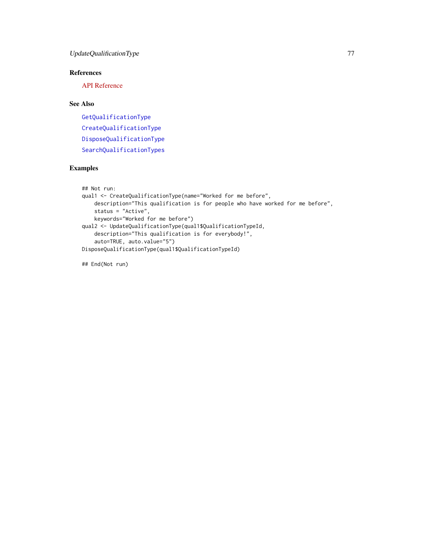# <span id="page-76-0"></span>References

[API Reference](https://docs.aws.amazon.com/AWSMechTurk/latest/AWSMturkAPI/ApiReference_UpdateQualificationTypeOperation.html)

# See Also

[GetQualificationType](#page-47-0) [CreateQualificationType](#page-16-0) [DisposeQualificationType](#page-21-0) [SearchQualificationTypes](#page-60-0)

# Examples

```
## Not run:
qual1 <- CreateQualificationType(name="Worked for me before",
   description="This qualification is for people who have worked for me before",
   status = "Active",
   keywords="Worked for me before")
qual2 <- UpdateQualificationType(qual1$QualificationTypeId,
   description="This qualification is for everybody!",
    auto=TRUE, auto.value="5")
DisposeQualificationType(qual1$QualificationTypeId)
```
## End(Not run)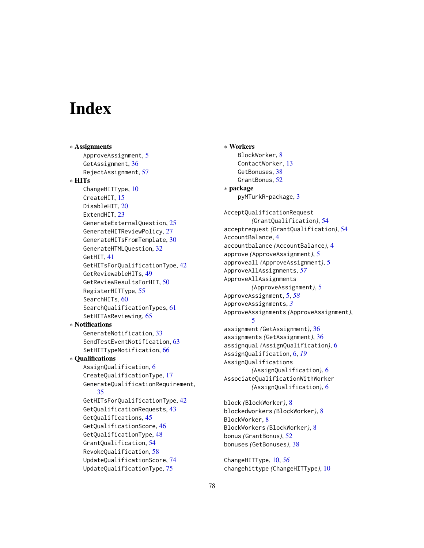# **Index**

∗ Assignments ApproveAssignment, [5](#page-4-0) GetAssignment, [36](#page-35-0) RejectAssignment, [57](#page-56-0) ∗ HITs ChangeHITType, [10](#page-9-0) CreateHIT, [15](#page-14-0) DisableHIT, [20](#page-19-0) ExtendHIT, [23](#page-22-0) GenerateExternalQuestion, [25](#page-24-0) GenerateHITReviewPolicy, [27](#page-26-0) GenerateHITsFromTemplate, [30](#page-29-0) GenerateHTMLQuestion, [32](#page-31-0) GetHIT, [41](#page-40-0) GetHITsForQualificationType, [42](#page-41-0) GetReviewableHITs, [49](#page-48-0) GetReviewResultsForHIT, [50](#page-49-0) RegisterHITType, [55](#page-54-0) SearchHITs, [60](#page-59-0) SearchQualificationTypes, [61](#page-60-1) SetHITAsReviewing, [65](#page-64-0) ∗ Notifications GenerateNotification, [33](#page-32-0) SendTestEventNotification, [63](#page-62-0) SetHITTypeNotification, [66](#page-65-0) ∗ Qualifications AssignQualification, [6](#page-5-0) CreateQualificationType, [17](#page-16-1) GenerateQualificationRequirement, [35](#page-34-0) GetHITsForQualificationType, [42](#page-41-0) GetQualificationRequests, [43](#page-42-0) GetQualifications, [45](#page-44-1) GetQualificationScore, [46](#page-45-1) GetQualificationType, [48](#page-47-1) GrantQualification, [54](#page-53-0) RevokeQualification, [58](#page-57-0) UpdateQualificationScore, [74](#page-73-0) UpdateQualificationType, [75](#page-74-0)

∗ Workers BlockWorker, [8](#page-7-0) ContactWorker, [13](#page-12-0) GetBonuses, [38](#page-37-0) GrantBonus, [52](#page-51-0) ∗ package pyMTurkR-package, [3](#page-2-0) AcceptQualificationRequest *(*GrantQualification*)*, [54](#page-53-0) acceptrequest *(*GrantQualification*)*, [54](#page-53-0) AccountBalance, [4](#page-3-0) accountbalance *(*AccountBalance*)*, [4](#page-3-0) approve *(*ApproveAssignment*)*, [5](#page-4-0) approveall *(*ApproveAssignment*)*, [5](#page-4-0) ApproveAllAssignments, *[57](#page-56-0)* ApproveAllAssignments *(*ApproveAssignment*)*, [5](#page-4-0) ApproveAssignment, [5,](#page-4-0) *[58](#page-57-0)* ApproveAssignments, *[3](#page-2-0)* ApproveAssignments *(*ApproveAssignment*)*, [5](#page-4-0) assignment *(*GetAssignment*)*, [36](#page-35-0) assignments *(*GetAssignment*)*, [36](#page-35-0) assignqual *(*AssignQualification*)*, [6](#page-5-0) AssignQualification, [6,](#page-5-0) *[19](#page-18-0)* AssignQualifications *(*AssignQualification*)*, [6](#page-5-0) AssociateQualificationWithWorker *(*AssignQualification*)*, [6](#page-5-0) block *(*BlockWorker*)*, [8](#page-7-0) blockedworkers *(*BlockWorker*)*, [8](#page-7-0) BlockWorker, [8](#page-7-0) BlockWorkers *(*BlockWorker*)*, [8](#page-7-0)

ChangeHITType, [10,](#page-9-0) *[56](#page-55-0)* changehittype *(*ChangeHITType*)*, [10](#page-9-0)

bonus *(*GrantBonus*)*, [52](#page-51-0) bonuses *(*GetBonuses*)*, [38](#page-37-0)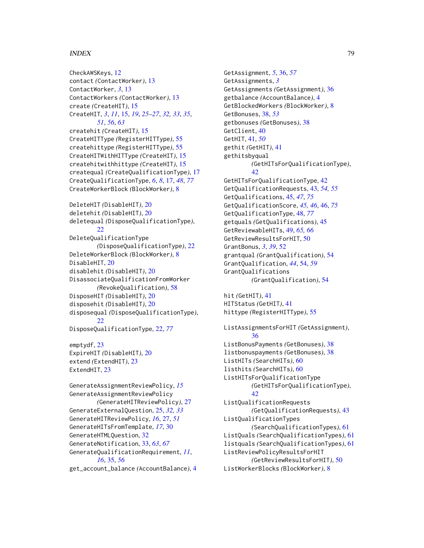#### INDEX 29

CheckAWSKeys, [12](#page-11-0) contact *(*ContactWorker*)*, [13](#page-12-0) ContactWorker, *[3](#page-2-0)*, [13](#page-12-0) ContactWorkers *(*ContactWorker*)*, [13](#page-12-0) create *(*CreateHIT*)*, [15](#page-14-0) CreateHIT, *[3](#page-2-0)*, *[11](#page-10-0)*, [15,](#page-14-0) *[19](#page-18-0)*, *[25–](#page-24-0)[27](#page-26-0)*, *[32,](#page-31-0) [33](#page-32-0)*, *[35](#page-34-0)*, *[51](#page-50-0)*, *[56](#page-55-0)*, *[63](#page-62-0)* createhit *(*CreateHIT*)*, [15](#page-14-0) CreateHITType *(*RegisterHITType*)*, [55](#page-54-0) createhittype *(*RegisterHITType*)*, [55](#page-54-0) CreateHITWithHITType *(*CreateHIT*)*, [15](#page-14-0) createhitwithhittype *(*CreateHIT*)*, [15](#page-14-0) createqual *(*CreateQualificationType*)*, [17](#page-16-1) CreateQualificationType, *[6](#page-5-0)*, *[8](#page-7-0)*, [17,](#page-16-1) *[48](#page-47-1)*, *[77](#page-76-0)* CreateWorkerBlock *(*BlockWorker*)*, [8](#page-7-0) DeleteHIT *(*DisableHIT*)*, [20](#page-19-0) deletehit *(*DisableHIT*)*, [20](#page-19-0) deletequal *(*DisposeQualificationType*)*, [22](#page-21-1) DeleteQualificationType *(*DisposeQualificationType*)*, [22](#page-21-1) DeleteWorkerBlock *(*BlockWorker*)*, [8](#page-7-0) DisableHIT, [20](#page-19-0) disablehit *(*DisableHIT*)*, [20](#page-19-0) DisassociateQualificationFromWorker *(*RevokeQualification*)*, [58](#page-57-0) DisposeHIT *(*DisableHIT*)*, [20](#page-19-0) disposehit *(*DisableHIT*)*, [20](#page-19-0) disposequal *(*DisposeQualificationType*)*, [22](#page-21-1) DisposeQualificationType, [22,](#page-21-1) *[77](#page-76-0)* emptydf, [23](#page-22-0) ExpireHIT *(*DisableHIT*)*, [20](#page-19-0) extend *(*ExtendHIT*)*, [23](#page-22-0) ExtendHIT, [23](#page-22-0) GenerateAssignmentReviewPolicy, *[15](#page-14-0)* GenerateAssignmentReviewPolicy *(*GenerateHITReviewPolicy*)*, [27](#page-26-0) GenerateExternalQuestion, [25,](#page-24-0) *[32,](#page-31-0) [33](#page-32-0)* GenerateHITReviewPolicy, *[16](#page-15-0)*, [27,](#page-26-0) *[51](#page-50-0)* GenerateHITsFromTemplate, *[17](#page-16-1)*, [30](#page-29-0) GenerateHTMLQuestion, [32](#page-31-0) GenerateNotification, [33,](#page-32-0) *[63](#page-62-0)*, *[67](#page-66-0)* GenerateQualificationRequirement, *[11](#page-10-0)*, *[16](#page-15-0)*, [35,](#page-34-0) *[56](#page-55-0)* get\_account\_balance *(*AccountBalance*)*, [4](#page-3-0)

GetAssignment, *[5](#page-4-0)*, [36,](#page-35-0) *[57](#page-56-0)* GetAssignments, *[3](#page-2-0)* GetAssignments *(*GetAssignment*)*, [36](#page-35-0) getbalance *(*AccountBalance*)*, [4](#page-3-0) GetBlockedWorkers *(*BlockWorker*)*, [8](#page-7-0) GetBonuses, [38,](#page-37-0) *[53](#page-52-0)* getbonuses *(*GetBonuses*)*, [38](#page-37-0) GetClient, [40](#page-39-0) GetHIT, [41,](#page-40-0) *[50](#page-49-0)* gethit *(*GetHIT*)*, [41](#page-40-0) gethitsbyqual *(*GetHITsForQualificationType*)*, [42](#page-41-0) GetHITsForQualificationType, [42](#page-41-0) GetQualificationRequests, [43,](#page-42-0) *[54,](#page-53-0) [55](#page-54-0)* GetQualifications, [45,](#page-44-1) *[47](#page-46-0)*, *[75](#page-74-0)* GetQualificationScore, *[45,](#page-44-1) [46](#page-45-1)*, [46,](#page-45-1) *[75](#page-74-0)* GetQualificationType, [48,](#page-47-1) *[77](#page-76-0)* getquals *(*GetQualifications*)*, [45](#page-44-1) GetReviewableHITs, [49,](#page-48-0) *[65,](#page-64-0) [66](#page-65-0)* GetReviewResultsForHIT, [50](#page-49-0) GrantBonus, *[3](#page-2-0)*, *[39](#page-38-0)*, [52](#page-51-0) grantqual *(*GrantQualification*)*, [54](#page-53-0) GrantQualification, *[44](#page-43-0)*, [54,](#page-53-0) *[59](#page-58-0)* GrantQualifications *(*GrantQualification*)*, [54](#page-53-0) hit *(*GetHIT*)*, [41](#page-40-0) HITStatus *(*GetHIT*)*, [41](#page-40-0) hittype *(*RegisterHITType*)*, [55](#page-54-0) ListAssignmentsForHIT *(*GetAssignment*)*, [36](#page-35-0) ListBonusPayments *(*GetBonuses*)*, [38](#page-37-0) listbonuspayments *(*GetBonuses*)*, [38](#page-37-0) ListHITs *(*SearchHITs*)*, [60](#page-59-0) listhits *(*SearchHITs*)*, [60](#page-59-0) ListHITsForQualificationType *(*GetHITsForQualificationType*)*, [42](#page-41-0) ListQualificationRequests *(*GetQualificationRequests*)*, [43](#page-42-0) ListQualificationTypes *(*SearchQualificationTypes*)*, [61](#page-60-1) ListQuals *(*SearchQualificationTypes*)*, [61](#page-60-1) listquals *(*SearchQualificationTypes*)*, [61](#page-60-1) ListReviewPolicyResultsForHIT *(*GetReviewResultsForHIT*)*, [50](#page-49-0) ListWorkerBlocks *(*BlockWorker*)*, [8](#page-7-0)